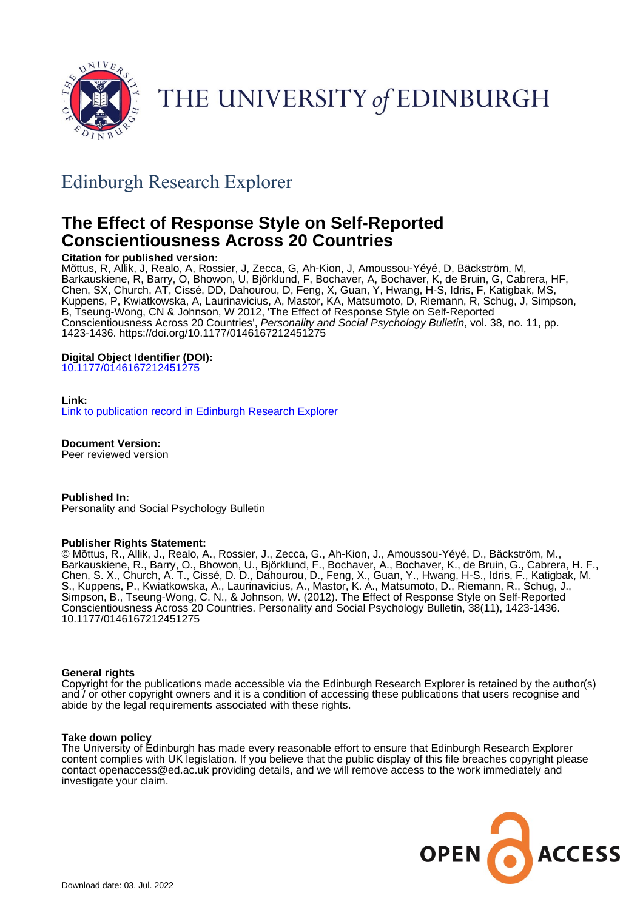

# THE UNIVERSITY of EDINBURGH

## Edinburgh Research Explorer

## **The Effect of Response Style on Self-Reported Conscientiousness Across 20 Countries**

#### **Citation for published version:**

Mõttus, R, Allik, J, Realo, A, Rossier, J, Zecca, G, Ah-Kion, J, Amoussou-Yéyé, D, Bäckström, M, Barkauskiene, R, Barry, O, Bhowon, U, Björklund, F, Bochaver, A, Bochaver, K, de Bruin, G, Cabrera, HF, Chen, SX, Church, AT, Cissé, DD, Dahourou, D, Feng, X, Guan, Y, Hwang, H-S, Idris, F, Katigbak, MS, Kuppens, P, Kwiatkowska, A, Laurinavicius, A, Mastor, KA, Matsumoto, D, Riemann, R, Schug, J, Simpson, B, Tseung-Wong, CN & Johnson, W 2012, 'The Effect of Response Style on Self-Reported Conscientiousness Across 20 Countries', Personality and Social Psychology Bulletin, vol. 38, no. 11, pp. 1423-1436.<https://doi.org/10.1177/0146167212451275>

#### **Digital Object Identifier (DOI):**

[10.1177/0146167212451275](https://doi.org/10.1177/0146167212451275)

#### **Link:**

[Link to publication record in Edinburgh Research Explorer](https://www.research.ed.ac.uk/en/publications/bf0fa67e-0cbe-4763-81f6-49a25bab4d4f)

**Document Version:** Peer reviewed version

**Published In:** Personality and Social Psychology Bulletin

#### **Publisher Rights Statement:**

© Mõttus, R., Allik, J., Realo, A., Rossier, J., Zecca, G., Ah-Kion, J., Amoussou-Yéyé, D., Bäckström, M., Barkauskiene, R., Barry, O., Bhowon, U., Björklund, F., Bochaver, A., Bochaver, K., de Bruin, G., Cabrera, H. F., Chen, S. X., Church, A. T., Cissé, D. D., Dahourou, D., Feng, X., Guan, Y., Hwang, H-S., Idris, F., Katigbak, M. S., Kuppens, P., Kwiatkowska, A., Laurinavicius, A., Mastor, K. A., Matsumoto, D., Riemann, R., Schug, J., Simpson, B., Tseung-Wong, C. N., & Johnson, W. (2012). The Effect of Response Style on Self-Reported Conscientiousness Across 20 Countries. Personality and Social Psychology Bulletin, 38(11), 1423-1436. 10.1177/0146167212451275

#### **General rights**

Copyright for the publications made accessible via the Edinburgh Research Explorer is retained by the author(s) and / or other copyright owners and it is a condition of accessing these publications that users recognise and abide by the legal requirements associated with these rights.

#### **Take down policy**

The University of Edinburgh has made every reasonable effort to ensure that Edinburgh Research Explorer content complies with UK legislation. If you believe that the public display of this file breaches copyright please contact openaccess@ed.ac.uk providing details, and we will remove access to the work immediately and investigate your claim.

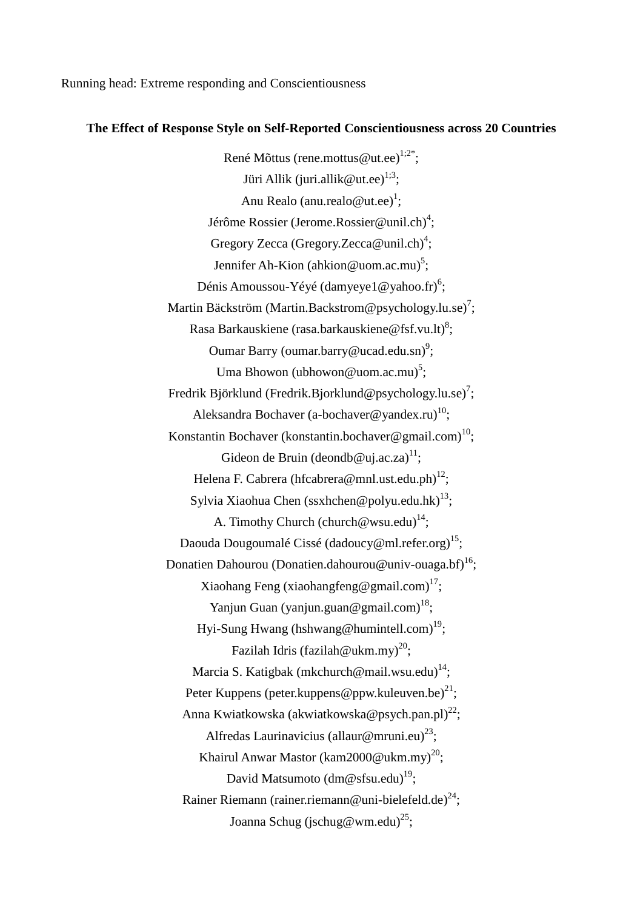Running head: Extreme responding and Conscientiousness

#### **The Effect of Response Style on Self-Reported Conscientiousness across 20 Countries**

René Mõttus (rene.mottus@ut.ee)<sup>1;2\*</sup>; Jüri Allik (juri.allik@ut.ee)<sup>1;3</sup>; Anu Realo (anu.realo@ut.ee)<sup>1</sup>; Jérôme Rossier (Jerome.Rossier@unil.ch)<sup>4</sup>; Gregory Zecca (Gregory.Zecca@unil.ch)<sup>4</sup>; Jennifer Ah-Kion (ahkion@uom.ac.mu)<sup>5</sup>; Dénis Amoussou-Yéyé (damyeye1@yahoo.fr)<sup>6</sup>; Martin Bäckström (Martin.Backstrom@psychology.lu.se)<sup>7</sup>; Rasa Barkauskiene (rasa.barkauskiene@fsf.vu.lt)<sup>8</sup>; Oumar Barry (oumar.barry@ucad.edu.sn)<sup>9</sup>; Uma Bhowon (ubhowon@uom.ac.mu)<sup>5</sup>; Fredrik Björklund (Fredrik.Bjorklund@psychology.lu.se)<sup>7</sup>; Aleksandra Bochaver (a-bochaver@yandex.ru)<sup>10</sup>; Konstantin Bochaver (konstantin.bochaver@gmail.com)<sup>10</sup>; Gideon de Bruin (deondb@uj.ac.za)<sup>11</sup>; Helena F. Cabrera (hfcabrera@mnl.ust.edu.ph)<sup>12</sup>; Sylvia Xiaohua Chen (ssxhchen@polyu.edu.hk)<sup>13</sup>; A. Timothy Church (church@wsu.edu)<sup>14</sup>; Daouda Dougoumalé Cissé (dadoucy@ml.refer.org)<sup>15</sup>; Donatien Dahourou (Donatien.dahourou@univ-ouaga.bf)<sup>16</sup>; Xiaohang Feng (xiaohangfeng@gmail.com)<sup>17</sup>; Yanjun Guan (yanjun.guan@gmail.com)<sup>18</sup>; Hyi-Sung Hwang (hshwang@humintell.com)<sup>19</sup>; Fazilah Idris (fazilah@ukm.my)<sup>20</sup>; Marcia S. Katigbak (mkchurch@mail.wsu.edu)<sup>14</sup>; Peter Kuppens (peter.kuppens@ppw.kuleuven.be) $^{21}$ ; Anna Kwiatkowska (akwiatkowska@psych.pan.pl)<sup>22</sup>; Alfredas Laurinavicius (allaur@mruni.eu)<sup>23</sup>; Khairul Anwar Mastor (kam2000@ukm.my)<sup>20</sup>; David Matsumoto  $dm@sfsu.edu$ <sup>19</sup>; Rainer Riemann (rainer.riemann@uni-bielefeld.de)<sup>24</sup>; Joanna Schug (jschug@wm.edu)<sup>25</sup>;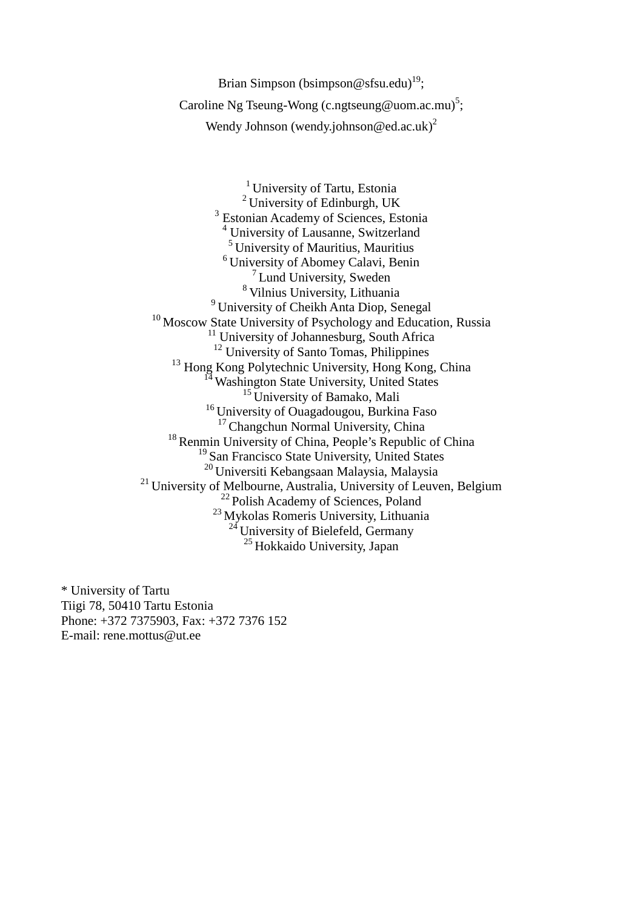Brian Simpson (bsimpson@sfsu.edu)<sup>19</sup>; Caroline Ng Tseung-Wong (c.ngtseung@uom.ac.mu)<sup>5</sup>; Wendy Johnson (wendy.johnson@ed.ac.uk)<sup>2</sup>

 $<sup>1</sup>$  University of Tartu, Estonia</sup> <sup>2</sup> University of Edinburgh, UK <sup>3</sup> Estonian Academy of Sciences, Estonia <sup>4</sup> University of Lausanne, Switzerland <sup>5</sup> University of Mauritius, Mauritius 6 University of Abomey Calavi, Benin 7 Lund University, Sweden 8 Vilnius University, Lithuania 9 University of Cheikh Anta Diop, Senegal <sup>10</sup> Moscow State University of Psychology and Education, Russia <sup>11</sup> University of Johannesburg, South Africa <sup>12</sup> University of Santo Tomas, Philippines <sup>13</sup> Hong Kong Polytechnic University, Hong Kong, China <sup>14</sup> Washington State University, United States <sup>15</sup> University of Bamako, Mali <sup>16</sup> University of Ouagadougou, Burkina Faso <sup>17</sup> Changchun Normal University, China <sup>18</sup> Renmin University of China, People's Republic of China <sup>19</sup> San Francisco State University, United States 20 Universiti Kebangsaan Malaysia, Malaysia <sup>21</sup> University of Melbourne, Australia, University of Leuven, Belgium <sup>22</sup> Polish Academy of Sciences, Poland 23 Mykolas Romeris University, Lithuania  $^{24}$  University of Bielefeld, Germany 25 Hokkaido University, Japan

\* University of Tartu Tiigi 78, 50410 Tartu Estonia Phone: +372 7375903, Fax: +372 7376 152 E-mail: rene.mottus@ut.ee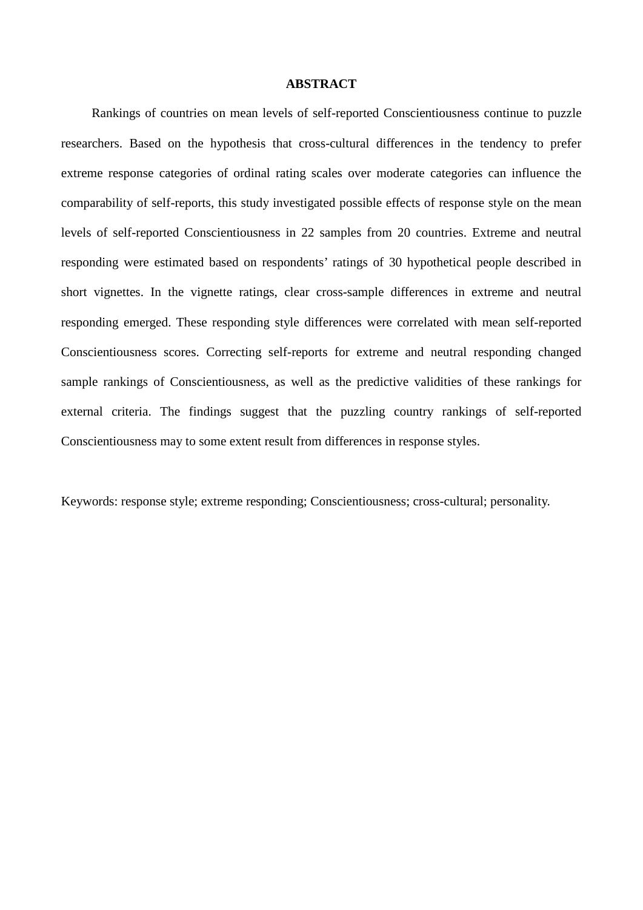#### **ABSTRACT**

Rankings of countries on mean levels of self-reported Conscientiousness continue to puzzle researchers. Based on the hypothesis that cross-cultural differences in the tendency to prefer extreme response categories of ordinal rating scales over moderate categories can influence the comparability of self-reports, this study investigated possible effects of response style on the mean levels of self-reported Conscientiousness in 22 samples from 20 countries. Extreme and neutral responding were estimated based on respondents' ratings of 30 hypothetical people described in short vignettes. In the vignette ratings, clear cross-sample differences in extreme and neutral responding emerged. These responding style differences were correlated with mean self-reported Conscientiousness scores. Correcting self-reports for extreme and neutral responding changed sample rankings of Conscientiousness, as well as the predictive validities of these rankings for external criteria. The findings suggest that the puzzling country rankings of self-reported Conscientiousness may to some extent result from differences in response styles.

Keywords: response style; extreme responding; Conscientiousness; cross-cultural; personality.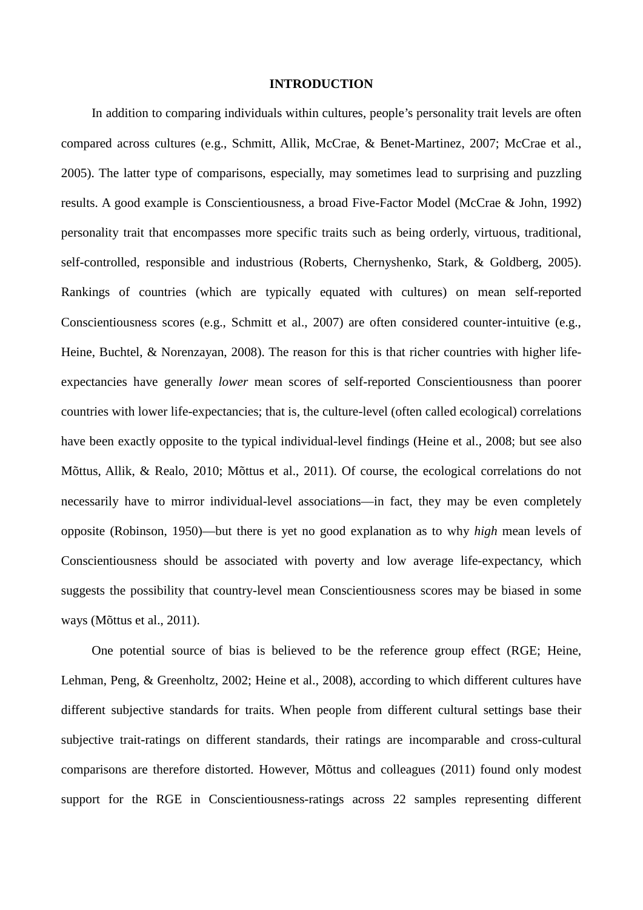#### **INTRODUCTION**

In addition to comparing individuals within cultures, people's personality trait levels are often compared across cultures (e.g., Schmitt, Allik, McCrae, & Benet-Martinez, 2007; McCrae et al., 2005). The latter type of comparisons, especially, may sometimes lead to surprising and puzzling results. A good example is Conscientiousness, a broad Five-Factor Model (McCrae & John, 1992) personality trait that encompasses more specific traits such as being orderly, virtuous, traditional, self-controlled, responsible and industrious (Roberts, Chernyshenko, Stark, & Goldberg, 2005). Rankings of countries (which are typically equated with cultures) on mean self-reported Conscientiousness scores (e.g., Schmitt et al., 2007) are often considered counter-intuitive (e.g., Heine, Buchtel, & Norenzayan, 2008). The reason for this is that richer countries with higher lifeexpectancies have generally *lower* mean scores of self-reported Conscientiousness than poorer countries with lower life-expectancies; that is, the culture-level (often called ecological) correlations have been exactly opposite to the typical individual-level findings (Heine et al., 2008; but see also Mõttus, Allik, & Realo, 2010; Mõttus et al., 2011). Of course, the ecological correlations do not necessarily have to mirror individual-level associations—in fact, they may be even completely opposite (Robinson, 1950)—but there is yet no good explanation as to why *high* mean levels of Conscientiousness should be associated with poverty and low average life-expectancy, which suggests the possibility that country-level mean Conscientiousness scores may be biased in some ways (Mõttus et al., 2011).

One potential source of bias is believed to be the reference group effect (RGE; Heine, Lehman, Peng, & Greenholtz, 2002; Heine et al., 2008), according to which different cultures have different subjective standards for traits. When people from different cultural settings base their subjective trait-ratings on different standards, their ratings are incomparable and cross-cultural comparisons are therefore distorted. However, Mõttus and colleagues (2011) found only modest support for the RGE in Conscientiousness-ratings across 22 samples representing different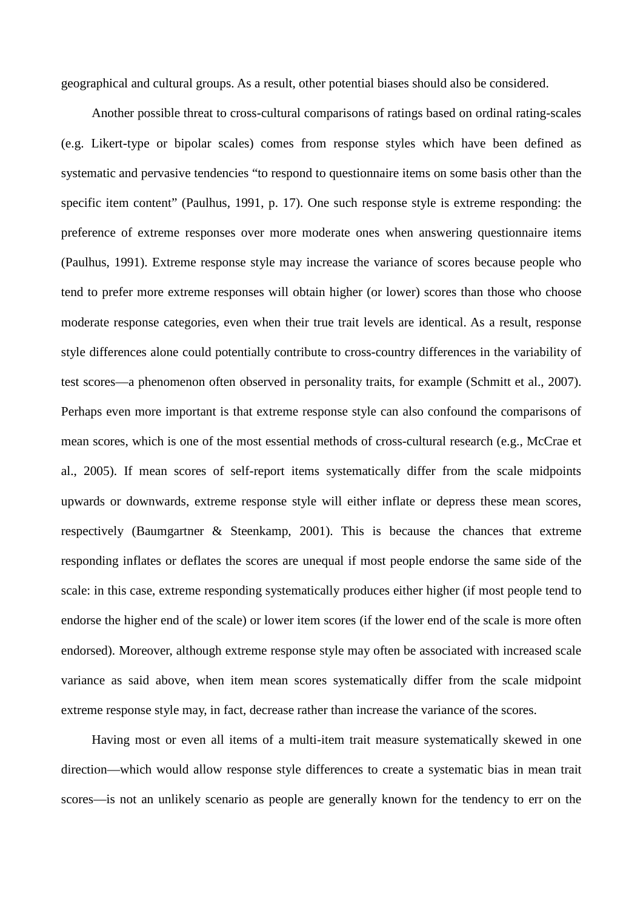geographical and cultural groups. As a result, other potential biases should also be considered.

Another possible threat to cross-cultural comparisons of ratings based on ordinal rating-scales (e.g. Likert-type or bipolar scales) comes from response styles which have been defined as systematic and pervasive tendencies "to respond to questionnaire items on some basis other than the specific item content" (Paulhus, 1991, p. 17). One such response style is extreme responding: the preference of extreme responses over more moderate ones when answering questionnaire items (Paulhus, 1991). Extreme response style may increase the variance of scores because people who tend to prefer more extreme responses will obtain higher (or lower) scores than those who choose moderate response categories, even when their true trait levels are identical. As a result, response style differences alone could potentially contribute to cross-country differences in the variability of test scores—a phenomenon often observed in personality traits, for example (Schmitt et al., 2007). Perhaps even more important is that extreme response style can also confound the comparisons of mean scores, which is one of the most essential methods of cross-cultural research (e.g., McCrae et al., 2005). If mean scores of self-report items systematically differ from the scale midpoints upwards or downwards, extreme response style will either inflate or depress these mean scores, respectively (Baumgartner & Steenkamp, 2001). This is because the chances that extreme responding inflates or deflates the scores are unequal if most people endorse the same side of the scale: in this case, extreme responding systematically produces either higher (if most people tend to endorse the higher end of the scale) or lower item scores (if the lower end of the scale is more often endorsed). Moreover, although extreme response style may often be associated with increased scale variance as said above, when item mean scores systematically differ from the scale midpoint extreme response style may, in fact, decrease rather than increase the variance of the scores.

Having most or even all items of a multi-item trait measure systematically skewed in one direction—which would allow response style differences to create a systematic bias in mean trait scores—is not an unlikely scenario as people are generally known for the tendency to err on the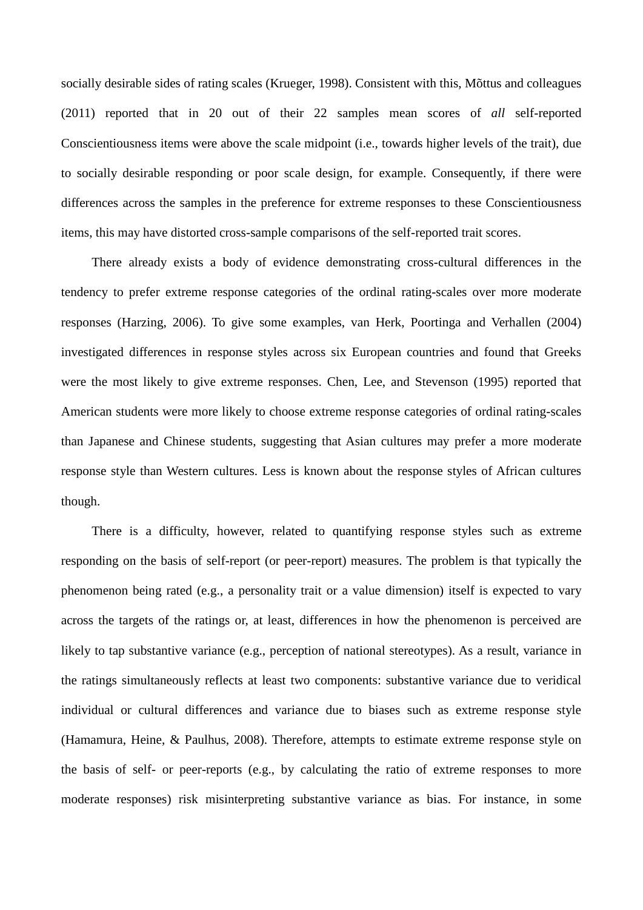socially desirable sides of rating scales (Krueger, 1998). Consistent with this, Mõttus and colleagues (2011) reported that in 20 out of their 22 samples mean scores of *all* self-reported Conscientiousness items were above the scale midpoint (i.e., towards higher levels of the trait), due to socially desirable responding or poor scale design, for example. Consequently, if there were differences across the samples in the preference for extreme responses to these Conscientiousness items, this may have distorted cross-sample comparisons of the self-reported trait scores.

There already exists a body of evidence demonstrating cross-cultural differences in the tendency to prefer extreme response categories of the ordinal rating-scales over more moderate responses (Harzing, 2006). To give some examples, van Herk, Poortinga and Verhallen (2004) investigated differences in response styles across six European countries and found that Greeks were the most likely to give extreme responses. Chen, Lee, and Stevenson (1995) reported that American students were more likely to choose extreme response categories of ordinal rating-scales than Japanese and Chinese students, suggesting that Asian cultures may prefer a more moderate response style than Western cultures. Less is known about the response styles of African cultures though.

There is a difficulty, however, related to quantifying response styles such as extreme responding on the basis of self-report (or peer-report) measures. The problem is that typically the phenomenon being rated (e.g., a personality trait or a value dimension) itself is expected to vary across the targets of the ratings or, at least, differences in how the phenomenon is perceived are likely to tap substantive variance (e.g., perception of national stereotypes). As a result, variance in the ratings simultaneously reflects at least two components: substantive variance due to veridical individual or cultural differences and variance due to biases such as extreme response style (Hamamura, Heine, & Paulhus, 2008). Therefore, attempts to estimate extreme response style on the basis of self- or peer-reports (e.g., by calculating the ratio of extreme responses to more moderate responses) risk misinterpreting substantive variance as bias. For instance, in some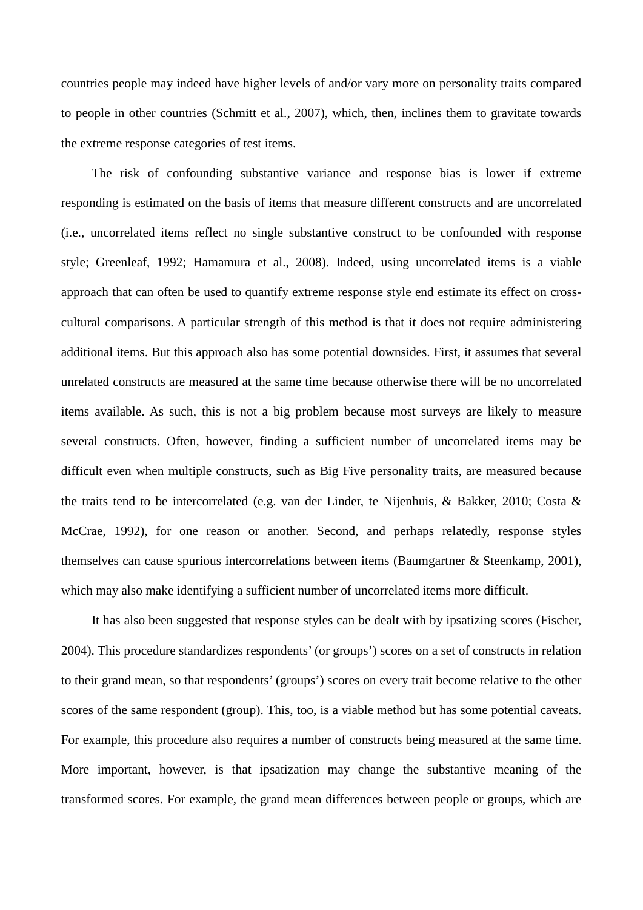countries people may indeed have higher levels of and/or vary more on personality traits compared to people in other countries (Schmitt et al., 2007), which, then, inclines them to gravitate towards the extreme response categories of test items.

The risk of confounding substantive variance and response bias is lower if extreme responding is estimated on the basis of items that measure different constructs and are uncorrelated (i.e., uncorrelated items reflect no single substantive construct to be confounded with response style; Greenleaf, 1992; Hamamura et al., 2008). Indeed, using uncorrelated items is a viable approach that can often be used to quantify extreme response style end estimate its effect on crosscultural comparisons. A particular strength of this method is that it does not require administering additional items. But this approach also has some potential downsides. First, it assumes that several unrelated constructs are measured at the same time because otherwise there will be no uncorrelated items available. As such, this is not a big problem because most surveys are likely to measure several constructs. Often, however, finding a sufficient number of uncorrelated items may be difficult even when multiple constructs, such as Big Five personality traits, are measured because the traits tend to be intercorrelated (e.g. van der Linder, te Nijenhuis, & Bakker, 2010; Costa & McCrae, 1992), for one reason or another. Second, and perhaps relatedly, response styles themselves can cause spurious intercorrelations between items (Baumgartner & Steenkamp, 2001), which may also make identifying a sufficient number of uncorrelated items more difficult.

It has also been suggested that response styles can be dealt with by ipsatizing scores (Fischer, 2004). This procedure standardizes respondents' (or groups') scores on a set of constructs in relation to their grand mean, so that respondents' (groups') scores on every trait become relative to the other scores of the same respondent (group). This, too, is a viable method but has some potential caveats. For example, this procedure also requires a number of constructs being measured at the same time. More important, however, is that ipsatization may change the substantive meaning of the transformed scores. For example, the grand mean differences between people or groups, which are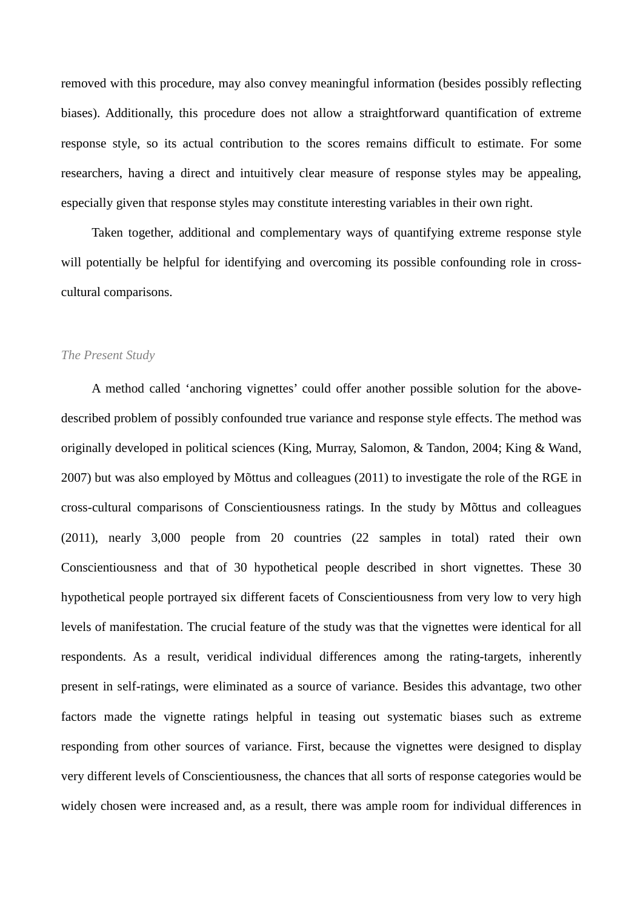removed with this procedure, may also convey meaningful information (besides possibly reflecting biases). Additionally, this procedure does not allow a straightforward quantification of extreme response style, so its actual contribution to the scores remains difficult to estimate. For some researchers, having a direct and intuitively clear measure of response styles may be appealing, especially given that response styles may constitute interesting variables in their own right.

Taken together, additional and complementary ways of quantifying extreme response style will potentially be helpful for identifying and overcoming its possible confounding role in crosscultural comparisons.

#### *The Present Study*

A method called 'anchoring vignettes' could offer another possible solution for the abovedescribed problem of possibly confounded true variance and response style effects. The method was originally developed in political sciences (King, Murray, Salomon, & Tandon, 2004; King & Wand, 2007) but was also employed by Mõttus and colleagues (2011) to investigate the role of the RGE in cross-cultural comparisons of Conscientiousness ratings. In the study by Mõttus and colleagues (2011), nearly 3,000 people from 20 countries (22 samples in total) rated their own Conscientiousness and that of 30 hypothetical people described in short vignettes. These 30 hypothetical people portrayed six different facets of Conscientiousness from very low to very high levels of manifestation. The crucial feature of the study was that the vignettes were identical for all respondents. As a result, veridical individual differences among the rating-targets, inherently present in self-ratings, were eliminated as a source of variance. Besides this advantage, two other factors made the vignette ratings helpful in teasing out systematic biases such as extreme responding from other sources of variance. First, because the vignettes were designed to display very different levels of Conscientiousness, the chances that all sorts of response categories would be widely chosen were increased and, as a result, there was ample room for individual differences in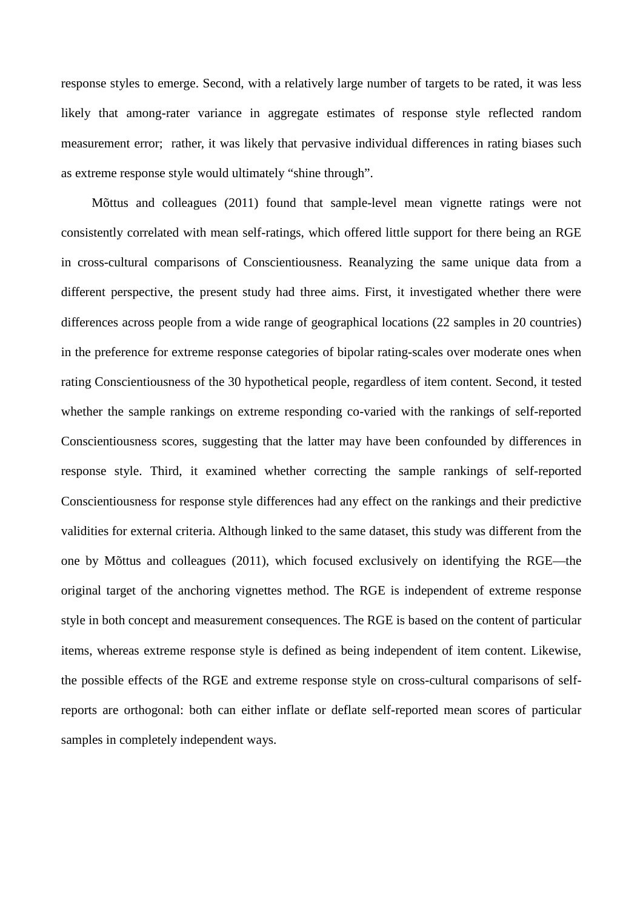response styles to emerge. Second, with a relatively large number of targets to be rated, it was less likely that among-rater variance in aggregate estimates of response style reflected random measurement error; rather, it was likely that pervasive individual differences in rating biases such as extreme response style would ultimately "shine through".

Mõttus and colleagues (2011) found that sample-level mean vignette ratings were not consistently correlated with mean self-ratings, which offered little support for there being an RGE in cross-cultural comparisons of Conscientiousness. Reanalyzing the same unique data from a different perspective, the present study had three aims. First, it investigated whether there were differences across people from a wide range of geographical locations (22 samples in 20 countries) in the preference for extreme response categories of bipolar rating-scales over moderate ones when rating Conscientiousness of the 30 hypothetical people, regardless of item content. Second, it tested whether the sample rankings on extreme responding co-varied with the rankings of self-reported Conscientiousness scores, suggesting that the latter may have been confounded by differences in response style. Third, it examined whether correcting the sample rankings of self-reported Conscientiousness for response style differences had any effect on the rankings and their predictive validities for external criteria. Although linked to the same dataset, this study was different from the one by Mõttus and colleagues (2011), which focused exclusively on identifying the RGE—the original target of the anchoring vignettes method. The RGE is independent of extreme response style in both concept and measurement consequences. The RGE is based on the content of particular items, whereas extreme response style is defined as being independent of item content. Likewise, the possible effects of the RGE and extreme response style on cross-cultural comparisons of selfreports are orthogonal: both can either inflate or deflate self-reported mean scores of particular samples in completely independent ways.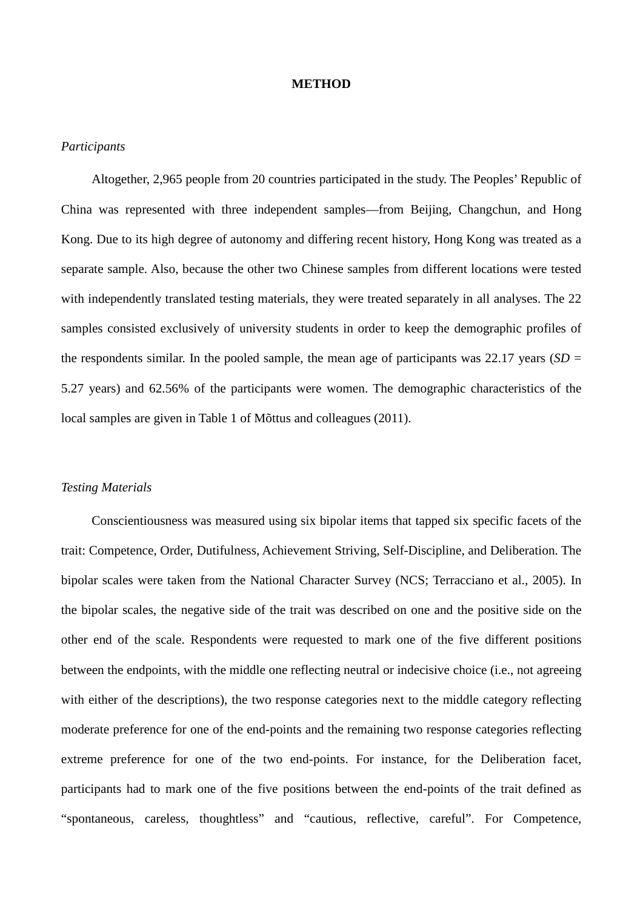#### **METHOD**

#### *Participants*

Altogether, 2,965 people from 20 countries participated in the study. The Peoples' Republic of China was represented with three independent samples—from Beijing, Changchun, and Hong Kong. Due to its high degree of autonomy and differing recent history, Hong Kong was treated as a separate sample. Also, because the other two Chinese samples from different locations were tested with independently translated testing materials, they were treated separately in all analyses. The 22 samples consisted exclusively of university students in order to keep the demographic profiles of the respondents similar. In the pooled sample, the mean age of participants was  $22.17$  years (*SD* = 5.27 years) and 62.56% of the participants were women. The demographic characteristics of the local samples are given in Table 1 of Mõttus and colleagues (2011).

#### *Testing Materials*

Conscientiousness was measured using six bipolar items that tapped six specific facets of the trait: Competence, Order, Dutifulness, Achievement Striving, Self-Discipline, and Deliberation. The bipolar scales were taken from the National Character Survey (NCS; Terracciano et al., 2005). In the bipolar scales, the negative side of the trait was described on one and the positive side on the other end of the scale. Respondents were requested to mark one of the five different positions between the endpoints, with the middle one reflecting neutral or indecisive choice (i.e., not agreeing with either of the descriptions), the two response categories next to the middle category reflecting moderate preference for one of the end-points and the remaining two response categories reflecting extreme preference for one of the two end-points. For instance, for the Deliberation facet, participants had to mark one of the five positions between the end-points of the trait defined as "spontaneous, careless, thoughtless" and "cautious, reflective, careful". For Competence,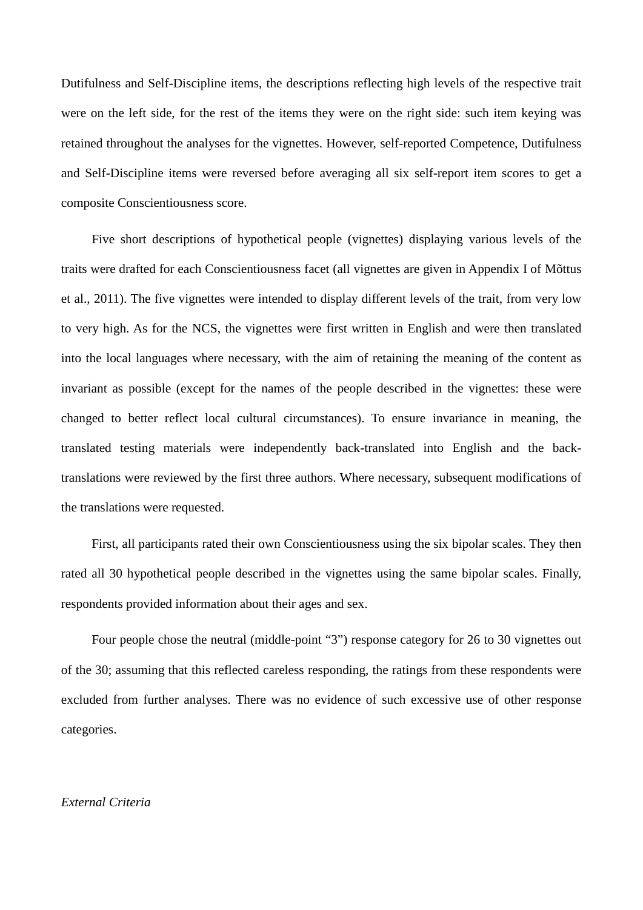Dutifulness and Self-Discipline items, the descriptions reflecting high levels of the respective trait were on the left side, for the rest of the items they were on the right side: such item keying was retained throughout the analyses for the vignettes. However, self-reported Competence, Dutifulness and Self-Discipline items were reversed before averaging all six self-report item scores to get a composite Conscientiousness score.

Five short descriptions of hypothetical people (vignettes) displaying various levels of the traits were drafted for each Conscientiousness facet (all vignettes are given in Appendix I of Mõttus et al., 2011). The five vignettes were intended to display different levels of the trait, from very low to very high. As for the NCS, the vignettes were first written in English and were then translated into the local languages where necessary, with the aim of retaining the meaning of the content as invariant as possible (except for the names of the people described in the vignettes: these were changed to better reflect local cultural circumstances). To ensure invariance in meaning, the translated testing materials were independently back-translated into English and the backtranslations were reviewed by the first three authors. Where necessary, subsequent modifications of the translations were requested.

First, all participants rated their own Conscientiousness using the six bipolar scales. They then rated all 30 hypothetical people described in the vignettes using the same bipolar scales. Finally, respondents provided information about their ages and sex.

Four people chose the neutral (middle-point "3") response category for 26 to 30 vignettes out of the 30; assuming that this reflected careless responding, the ratings from these respondents were excluded from further analyses. There was no evidence of such excessive use of other response categories.

#### *External Criteria*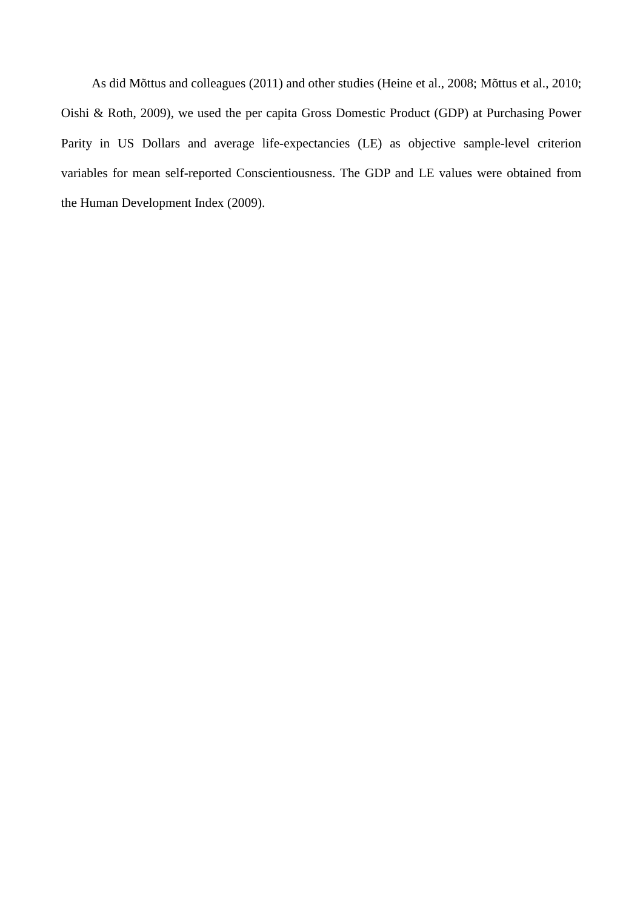As did Mõttus and colleagues (2011) and other studies (Heine et al., 2008; Mõttus et al., 2010; Oishi & Roth, 2009), we used the per capita Gross Domestic Product (GDP) at Purchasing Power Parity in US Dollars and average life-expectancies (LE) as objective sample-level criterion variables for mean self-reported Conscientiousness. The GDP and LE values were obtained from the Human Development Index (2009).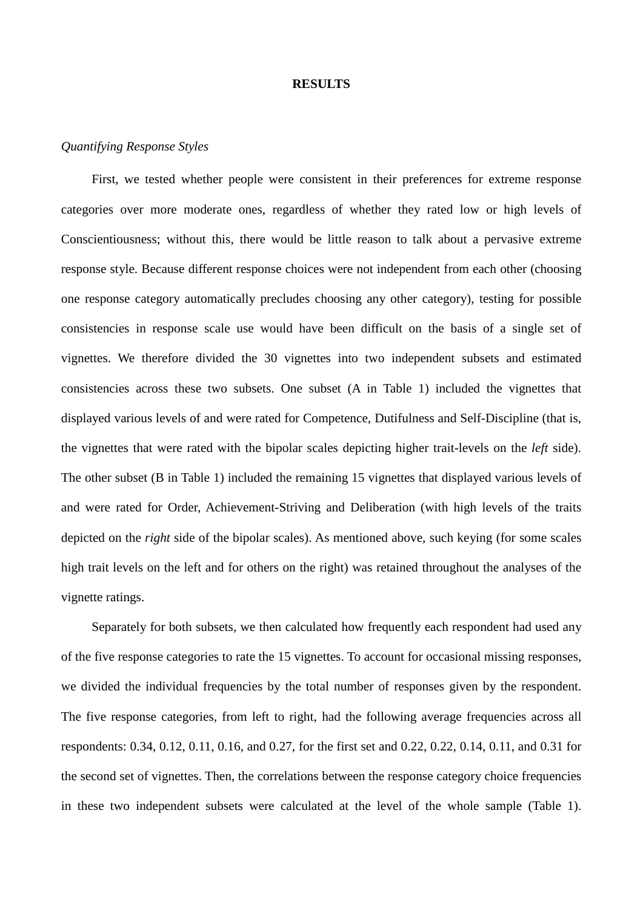#### **RESULTS**

#### *Quantifying Response Styles*

First, we tested whether people were consistent in their preferences for extreme response categories over more moderate ones, regardless of whether they rated low or high levels of Conscientiousness; without this, there would be little reason to talk about a pervasive extreme response style. Because different response choices were not independent from each other (choosing one response category automatically precludes choosing any other category), testing for possible consistencies in response scale use would have been difficult on the basis of a single set of vignettes. We therefore divided the 30 vignettes into two independent subsets and estimated consistencies across these two subsets. One subset (A in Table 1) included the vignettes that displayed various levels of and were rated for Competence, Dutifulness and Self-Discipline (that is, the vignettes that were rated with the bipolar scales depicting higher trait-levels on the *left* side). The other subset (B in Table 1) included the remaining 15 vignettes that displayed various levels of and were rated for Order, Achievement-Striving and Deliberation (with high levels of the traits depicted on the *right* side of the bipolar scales). As mentioned above, such keying (for some scales high trait levels on the left and for others on the right) was retained throughout the analyses of the vignette ratings.

Separately for both subsets, we then calculated how frequently each respondent had used any of the five response categories to rate the 15 vignettes. To account for occasional missing responses, we divided the individual frequencies by the total number of responses given by the respondent. The five response categories, from left to right, had the following average frequencies across all respondents: 0.34, 0.12, 0.11, 0.16, and 0.27, for the first set and 0.22, 0.22, 0.14, 0.11, and 0.31 for the second set of vignettes. Then, the correlations between the response category choice frequencies in these two independent subsets were calculated at the level of the whole sample (Table 1).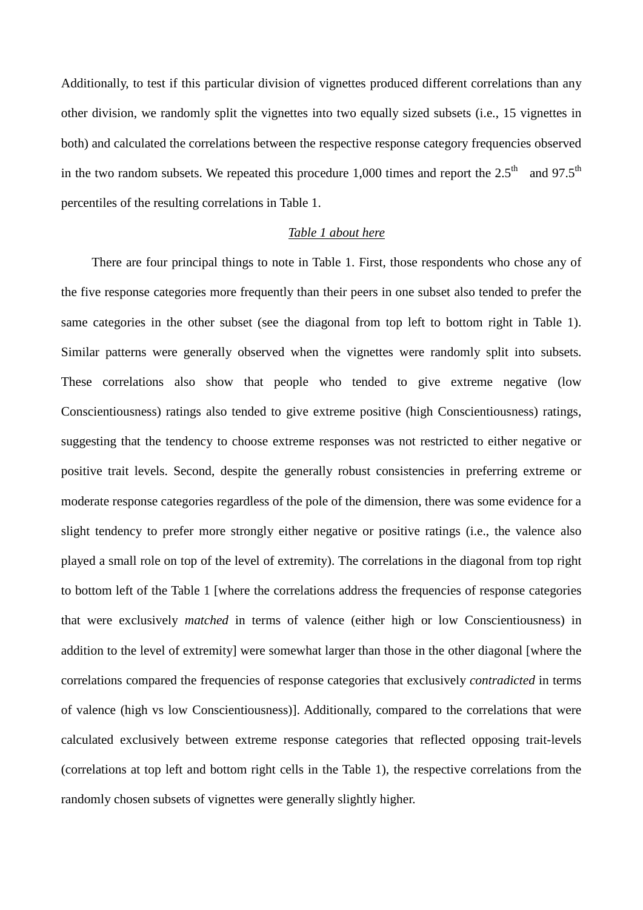Additionally, to test if this particular division of vignettes produced different correlations than any other division, we randomly split the vignettes into two equally sized subsets (i.e., 15 vignettes in both) and calculated the correlations between the respective response category frequencies observed in the two random subsets. We repeated this procedure 1,000 times and report the  $2.5<sup>th</sup>$  and 97.5<sup>th</sup> percentiles of the resulting correlations in Table 1.

#### *Table 1 about here*

There are four principal things to note in Table 1. First, those respondents who chose any of the five response categories more frequently than their peers in one subset also tended to prefer the same categories in the other subset (see the diagonal from top left to bottom right in Table 1). Similar patterns were generally observed when the vignettes were randomly split into subsets. These correlations also show that people who tended to give extreme negative (low Conscientiousness) ratings also tended to give extreme positive (high Conscientiousness) ratings, suggesting that the tendency to choose extreme responses was not restricted to either negative or positive trait levels. Second, despite the generally robust consistencies in preferring extreme or moderate response categories regardless of the pole of the dimension, there was some evidence for a slight tendency to prefer more strongly either negative or positive ratings (i.e., the valence also played a small role on top of the level of extremity). The correlations in the diagonal from top right to bottom left of the Table 1 [where the correlations address the frequencies of response categories that were exclusively *matched* in terms of valence (either high or low Conscientiousness) in addition to the level of extremity] were somewhat larger than those in the other diagonal [where the correlations compared the frequencies of response categories that exclusively *contradicted* in terms of valence (high vs low Conscientiousness)]. Additionally, compared to the correlations that were calculated exclusively between extreme response categories that reflected opposing trait-levels (correlations at top left and bottom right cells in the Table 1), the respective correlations from the randomly chosen subsets of vignettes were generally slightly higher.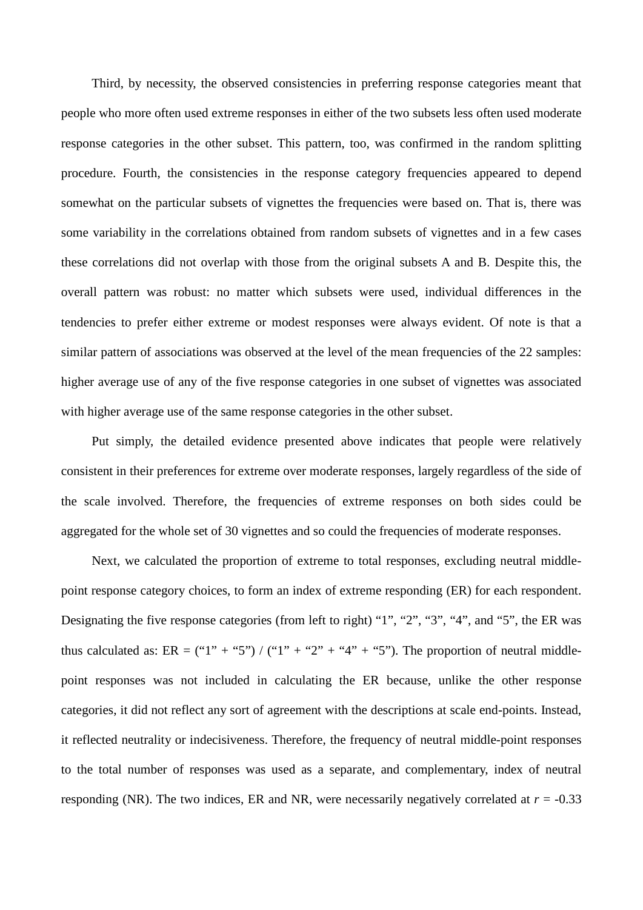Third, by necessity, the observed consistencies in preferring response categories meant that people who more often used extreme responses in either of the two subsets less often used moderate response categories in the other subset. This pattern, too, was confirmed in the random splitting procedure. Fourth, the consistencies in the response category frequencies appeared to depend somewhat on the particular subsets of vignettes the frequencies were based on. That is, there was some variability in the correlations obtained from random subsets of vignettes and in a few cases these correlations did not overlap with those from the original subsets A and B. Despite this, the overall pattern was robust: no matter which subsets were used, individual differences in the tendencies to prefer either extreme or modest responses were always evident. Of note is that a similar pattern of associations was observed at the level of the mean frequencies of the 22 samples: higher average use of any of the five response categories in one subset of vignettes was associated with higher average use of the same response categories in the other subset.

Put simply, the detailed evidence presented above indicates that people were relatively consistent in their preferences for extreme over moderate responses, largely regardless of the side of the scale involved. Therefore, the frequencies of extreme responses on both sides could be aggregated for the whole set of 30 vignettes and so could the frequencies of moderate responses.

Next, we calculated the proportion of extreme to total responses, excluding neutral middlepoint response category choices, to form an index of extreme responding (ER) for each respondent. Designating the five response categories (from left to right) "1", "2", "3", "4", and "5", the ER was thus calculated as: ER =  $("1" + "5") / ("1" + "2" + "4" + "5")$ . The proportion of neutral middlepoint responses was not included in calculating the ER because, unlike the other response categories, it did not reflect any sort of agreement with the descriptions at scale end-points. Instead, it reflected neutrality or indecisiveness. Therefore, the frequency of neutral middle-point responses to the total number of responses was used as a separate, and complementary, index of neutral responding (NR). The two indices, ER and NR, were necessarily negatively correlated at  $r = -0.33$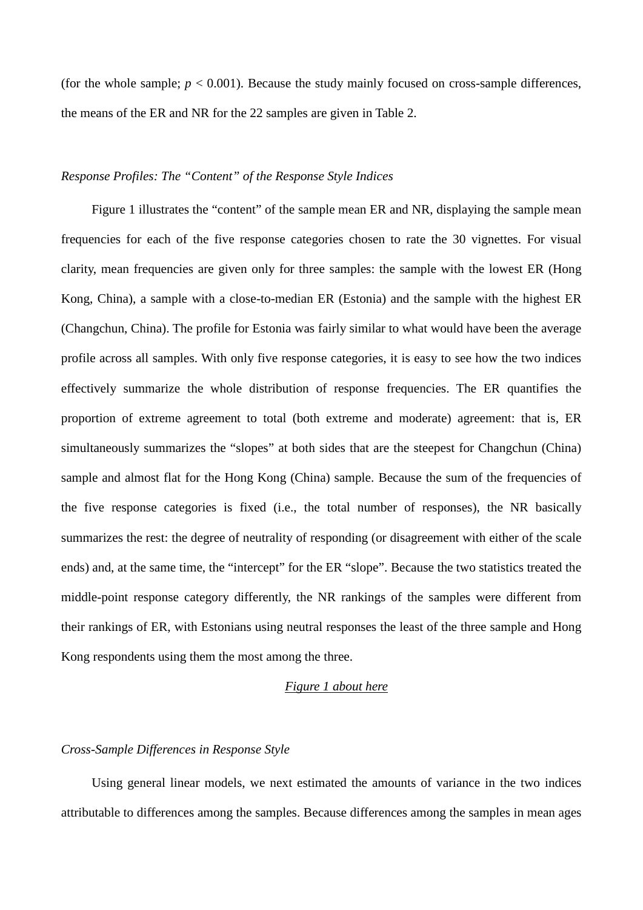(for the whole sample;  $p < 0.001$ ). Because the study mainly focused on cross-sample differences, the means of the ER and NR for the 22 samples are given in Table 2.

#### *Response Profiles: The "Content" of the Response Style Indices*

Figure 1 illustrates the "content" of the sample mean ER and NR, displaying the sample mean frequencies for each of the five response categories chosen to rate the 30 vignettes. For visual clarity, mean frequencies are given only for three samples: the sample with the lowest ER (Hong Kong, China), a sample with a close-to-median ER (Estonia) and the sample with the highest ER (Changchun, China). The profile for Estonia was fairly similar to what would have been the average profile across all samples. With only five response categories, it is easy to see how the two indices effectively summarize the whole distribution of response frequencies. The ER quantifies the proportion of extreme agreement to total (both extreme and moderate) agreement: that is, ER simultaneously summarizes the "slopes" at both sides that are the steepest for Changchun (China) sample and almost flat for the Hong Kong (China) sample. Because the sum of the frequencies of the five response categories is fixed (i.e., the total number of responses), the NR basically summarizes the rest: the degree of neutrality of responding (or disagreement with either of the scale ends) and, at the same time, the "intercept" for the ER "slope". Because the two statistics treated the middle-point response category differently, the NR rankings of the samples were different from their rankings of ER, with Estonians using neutral responses the least of the three sample and Hong Kong respondents using them the most among the three.

#### *Figure 1 about here*

#### *Cross-Sample Differences in Response Style*

Using general linear models, we next estimated the amounts of variance in the two indices attributable to differences among the samples. Because differences among the samples in mean ages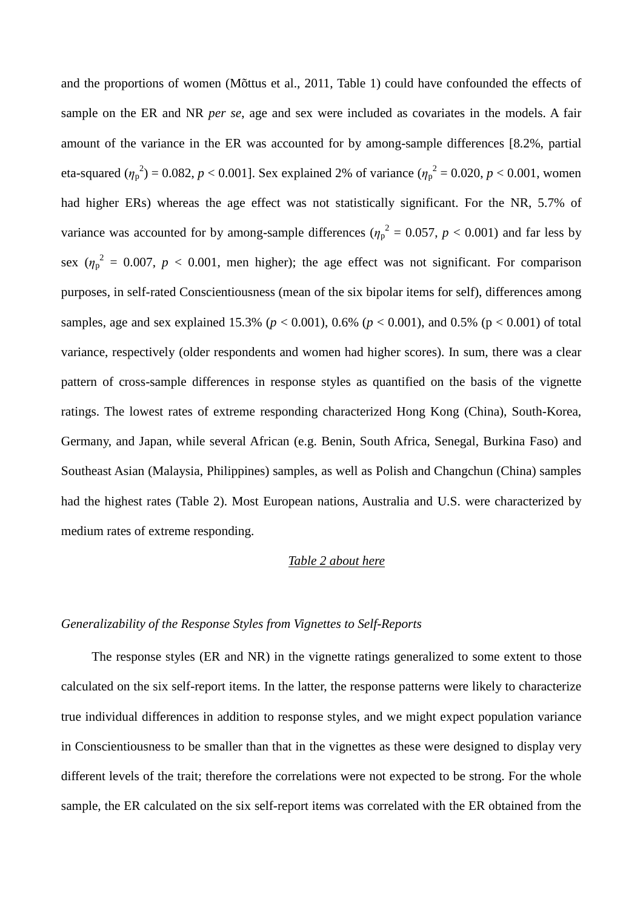and the proportions of women (Mõttus et al., 2011, Table 1) could have confounded the effects of sample on the ER and NR *per se*, age and sex were included as covariates in the models. A fair amount of the variance in the ER was accounted for by among-sample differences [8.2%, partial eta-squared  $(\eta_p^2) = 0.082$ ,  $p < 0.001$ ]. Sex explained 2% of variance  $(\eta_p^2 = 0.020, p < 0.001$ , women had higher ERs) whereas the age effect was not statistically significant. For the NR, 5.7% of variance was accounted for by among-sample differences ( $\eta_p^2 = 0.057$ ,  $p < 0.001$ ) and far less by sex ( $\eta_p^2 = 0.007$ ,  $p < 0.001$ , men higher); the age effect was not significant. For comparison purposes, in self-rated Conscientiousness (mean of the six bipolar items for self), differences among samples, age and sex explained 15.3% ( $p < 0.001$ ), 0.6% ( $p < 0.001$ ), and 0.5% ( $p < 0.001$ ) of total variance, respectively (older respondents and women had higher scores). In sum, there was a clear pattern of cross-sample differences in response styles as quantified on the basis of the vignette ratings. The lowest rates of extreme responding characterized Hong Kong (China), South-Korea, Germany, and Japan, while several African (e.g. Benin, South Africa, Senegal, Burkina Faso) and Southeast Asian (Malaysia, Philippines) samples, as well as Polish and Changchun (China) samples had the highest rates (Table 2). Most European nations, Australia and U.S. were characterized by medium rates of extreme responding.

#### *Table 2 about here*

#### *Generalizability of the Response Styles from Vignettes to Self-Reports*

The response styles (ER and NR) in the vignette ratings generalized to some extent to those calculated on the six self-report items. In the latter, the response patterns were likely to characterize true individual differences in addition to response styles, and we might expect population variance in Conscientiousness to be smaller than that in the vignettes as these were designed to display very different levels of the trait; therefore the correlations were not expected to be strong. For the whole sample, the ER calculated on the six self-report items was correlated with the ER obtained from the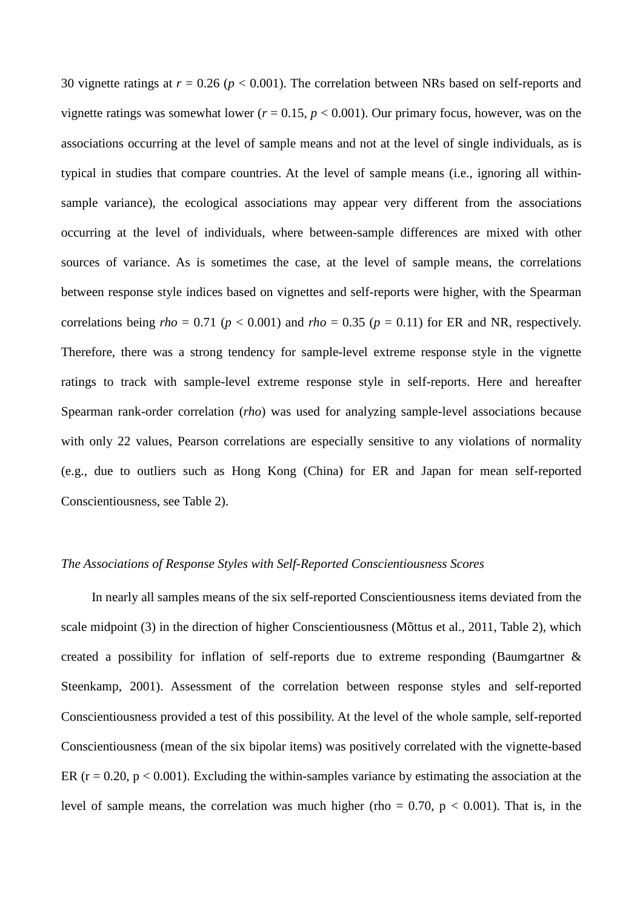30 vignette ratings at *r* = 0.26 (*p* < 0.001). The correlation between NRs based on self-reports and vignette ratings was somewhat lower ( $r = 0.15$ ,  $p < 0.001$ ). Our primary focus, however, was on the associations occurring at the level of sample means and not at the level of single individuals, as is typical in studies that compare countries. At the level of sample means (i.e., ignoring all withinsample variance), the ecological associations may appear very different from the associations occurring at the level of individuals, where between-sample differences are mixed with other sources of variance. As is sometimes the case, at the level of sample means, the correlations between response style indices based on vignettes and self-reports were higher, with the Spearman correlations being  $rho = 0.71$  ( $p < 0.001$ ) and  $rho = 0.35$  ( $p = 0.11$ ) for ER and NR, respectively. Therefore, there was a strong tendency for sample-level extreme response style in the vignette ratings to track with sample-level extreme response style in self-reports. Here and hereafter Spearman rank-order correlation (*rho*) was used for analyzing sample-level associations because with only 22 values, Pearson correlations are especially sensitive to any violations of normality (e.g., due to outliers such as Hong Kong (China) for ER and Japan for mean self-reported Conscientiousness, see Table 2).

#### *The Associations of Response Styles with Self-Reported Conscientiousness Scores*

In nearly all samples means of the six self-reported Conscientiousness items deviated from the scale midpoint (3) in the direction of higher Conscientiousness (Mõttus et al., 2011, Table 2), which created a possibility for inflation of self-reports due to extreme responding (Baumgartner & Steenkamp, 2001). Assessment of the correlation between response styles and self-reported Conscientiousness provided a test of this possibility. At the level of the whole sample, self-reported Conscientiousness (mean of the six bipolar items) was positively correlated with the vignette-based ER ( $r = 0.20$ ,  $p < 0.001$ ). Excluding the within-samples variance by estimating the association at the level of sample means, the correlation was much higher (rho =  $0.70$ , p <  $0.001$ ). That is, in the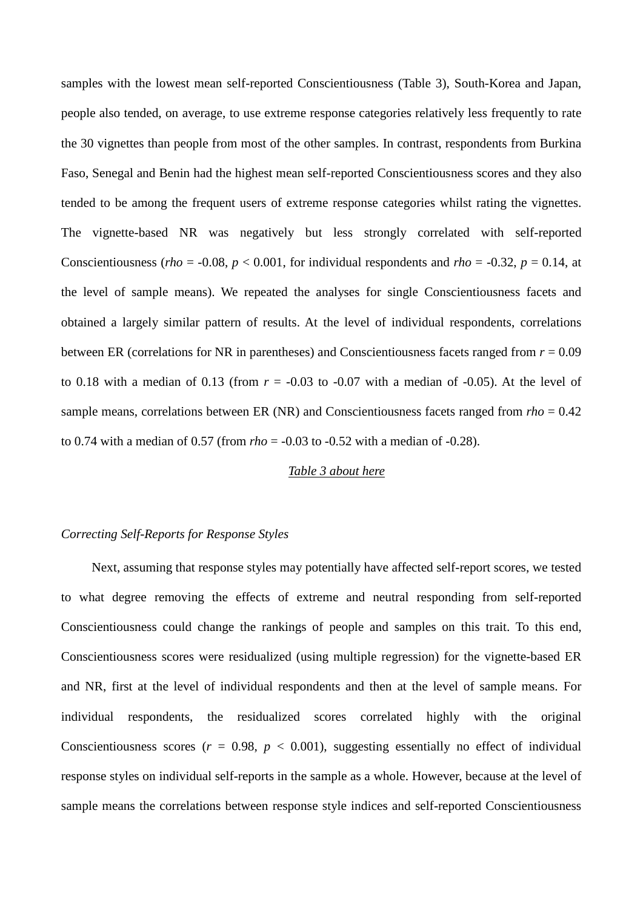samples with the lowest mean self-reported Conscientiousness (Table 3), South-Korea and Japan, people also tended, on average, to use extreme response categories relatively less frequently to rate the 30 vignettes than people from most of the other samples. In contrast, respondents from Burkina Faso, Senegal and Benin had the highest mean self-reported Conscientiousness scores and they also tended to be among the frequent users of extreme response categories whilst rating the vignettes. The vignette-based NR was negatively but less strongly correlated with self-reported Conscientiousness (*rho* = -0.08,  $p < 0.001$ , for individual respondents and *rho* = -0.32,  $p = 0.14$ , at the level of sample means). We repeated the analyses for single Conscientiousness facets and obtained a largely similar pattern of results. At the level of individual respondents, correlations between ER (correlations for NR in parentheses) and Conscientiousness facets ranged from  $r = 0.09$ to 0.18 with a median of 0.13 (from  $r = -0.03$  to  $-0.07$  with a median of  $-0.05$ ). At the level of sample means, correlations between ER (NR) and Conscientiousness facets ranged from *rho* = 0.42 to 0.74 with a median of 0.57 (from *rho* = -0.03 to -0.52 with a median of -0.28).

#### *Table 3 about here*

#### *Correcting Self-Reports for Response Styles*

Next, assuming that response styles may potentially have affected self-report scores, we tested to what degree removing the effects of extreme and neutral responding from self-reported Conscientiousness could change the rankings of people and samples on this trait. To this end, Conscientiousness scores were residualized (using multiple regression) for the vignette-based ER and NR, first at the level of individual respondents and then at the level of sample means. For individual respondents, the residualized scores correlated highly with the original Conscientiousness scores  $(r = 0.98, p < 0.001)$ , suggesting essentially no effect of individual response styles on individual self-reports in the sample as a whole. However, because at the level of sample means the correlations between response style indices and self-reported Conscientiousness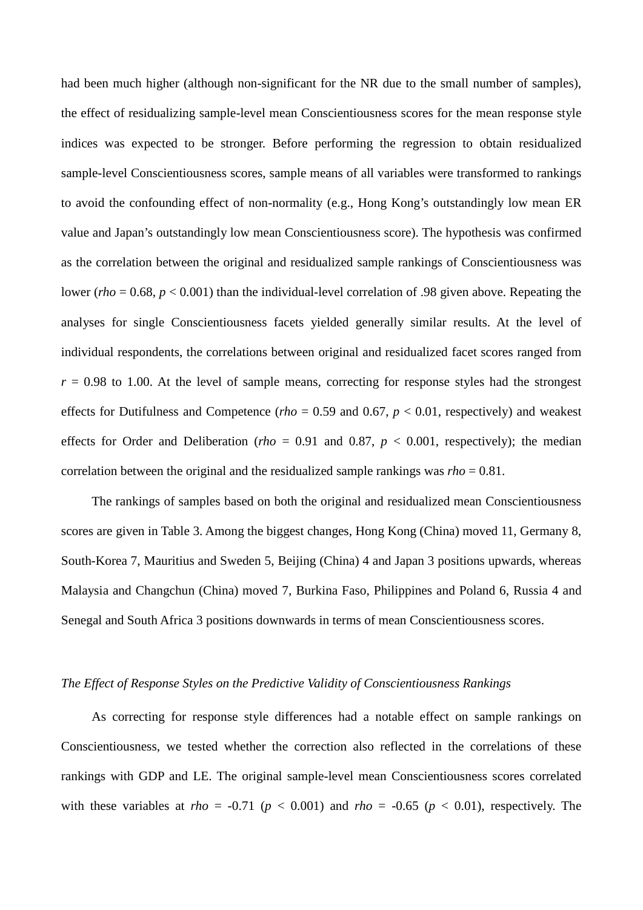had been much higher (although non-significant for the NR due to the small number of samples), the effect of residualizing sample-level mean Conscientiousness scores for the mean response style indices was expected to be stronger. Before performing the regression to obtain residualized sample-level Conscientiousness scores, sample means of all variables were transformed to rankings to avoid the confounding effect of non-normality (e.g., Hong Kong's outstandingly low mean ER value and Japan's outstandingly low mean Conscientiousness score). The hypothesis was confirmed as the correlation between the original and residualized sample rankings of Conscientiousness was lower (*rho* = 0.68, *p* < 0.001) than the individual-level correlation of .98 given above. Repeating the analyses for single Conscientiousness facets yielded generally similar results. At the level of individual respondents, the correlations between original and residualized facet scores ranged from  $r = 0.98$  to 1.00. At the level of sample means, correcting for response styles had the strongest effects for Dutifulness and Competence ( $rho = 0.59$  and 0.67,  $p < 0.01$ , respectively) and weakest effects for Order and Deliberation ( $rho = 0.91$  and 0.87,  $p < 0.001$ , respectively); the median correlation between the original and the residualized sample rankings was *rho* = 0.81.

The rankings of samples based on both the original and residualized mean Conscientiousness scores are given in Table 3. Among the biggest changes, Hong Kong (China) moved 11, Germany 8, South-Korea 7, Mauritius and Sweden 5, Beijing (China) 4 and Japan 3 positions upwards, whereas Malaysia and Changchun (China) moved 7, Burkina Faso, Philippines and Poland 6, Russia 4 and Senegal and South Africa 3 positions downwards in terms of mean Conscientiousness scores.

#### *The Effect of Response Styles on the Predictive Validity of Conscientiousness Rankings*

As correcting for response style differences had a notable effect on sample rankings on Conscientiousness, we tested whether the correction also reflected in the correlations of these rankings with GDP and LE. The original sample-level mean Conscientiousness scores correlated with these variables at  $rho = -0.71$  ( $p < 0.001$ ) and  $rho = -0.65$  ( $p < 0.01$ ), respectively. The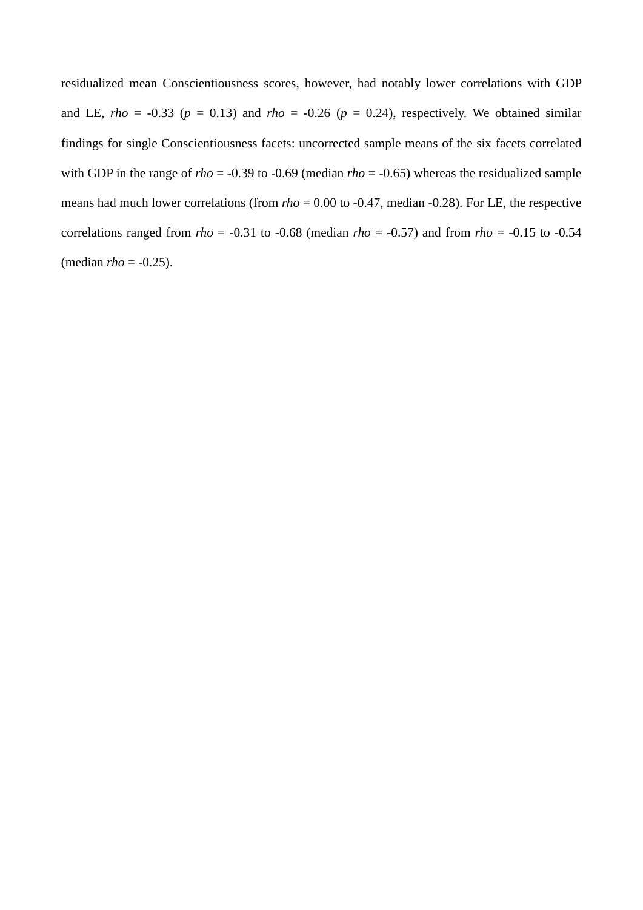residualized mean Conscientiousness scores, however, had notably lower correlations with GDP and LE,  $rho = -0.33$  ( $p = 0.13$ ) and  $rho = -0.26$  ( $p = 0.24$ ), respectively. We obtained similar findings for single Conscientiousness facets: uncorrected sample means of the six facets correlated with GDP in the range of *rho* = -0.39 to -0.69 (median *rho* = -0.65) whereas the residualized sample means had much lower correlations (from *rho* = 0.00 to -0.47, median -0.28). For LE, the respective correlations ranged from  $rho = -0.31$  to  $-0.68$  (median  $rho = -0.57$ ) and from  $rho = -0.15$  to  $-0.54$ (median *rho* = -0.25).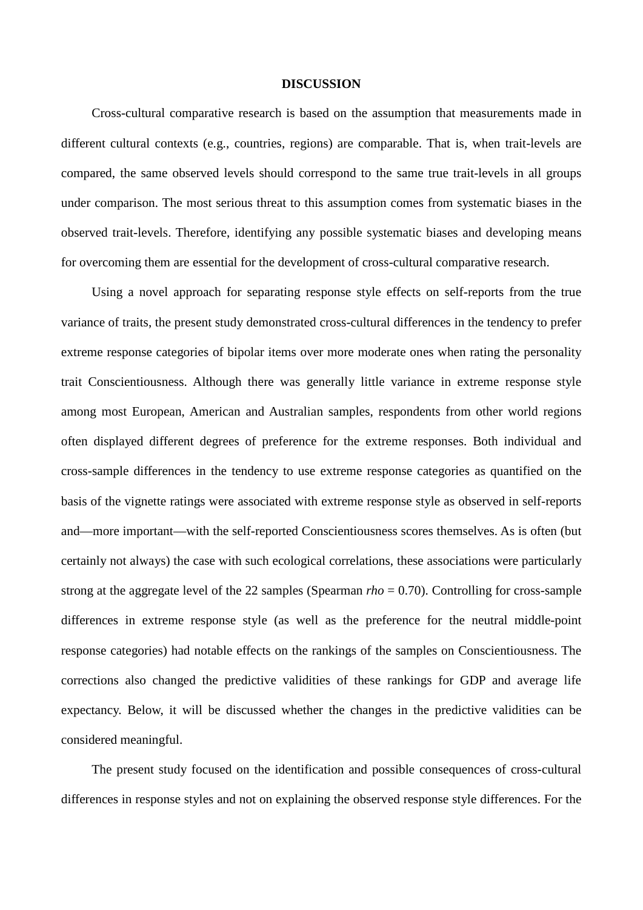#### **DISCUSSION**

Cross-cultural comparative research is based on the assumption that measurements made in different cultural contexts (e.g., countries, regions) are comparable. That is, when trait-levels are compared, the same observed levels should correspond to the same true trait-levels in all groups under comparison. The most serious threat to this assumption comes from systematic biases in the observed trait-levels. Therefore, identifying any possible systematic biases and developing means for overcoming them are essential for the development of cross-cultural comparative research.

Using a novel approach for separating response style effects on self-reports from the true variance of traits, the present study demonstrated cross-cultural differences in the tendency to prefer extreme response categories of bipolar items over more moderate ones when rating the personality trait Conscientiousness. Although there was generally little variance in extreme response style among most European, American and Australian samples, respondents from other world regions often displayed different degrees of preference for the extreme responses. Both individual and cross-sample differences in the tendency to use extreme response categories as quantified on the basis of the vignette ratings were associated with extreme response style as observed in self-reports and—more important—with the self-reported Conscientiousness scores themselves. As is often (but certainly not always) the case with such ecological correlations, these associations were particularly strong at the aggregate level of the 22 samples (Spearman *rho* = 0.70). Controlling for cross-sample differences in extreme response style (as well as the preference for the neutral middle-point response categories) had notable effects on the rankings of the samples on Conscientiousness. The corrections also changed the predictive validities of these rankings for GDP and average life expectancy. Below, it will be discussed whether the changes in the predictive validities can be considered meaningful.

The present study focused on the identification and possible consequences of cross-cultural differences in response styles and not on explaining the observed response style differences. For the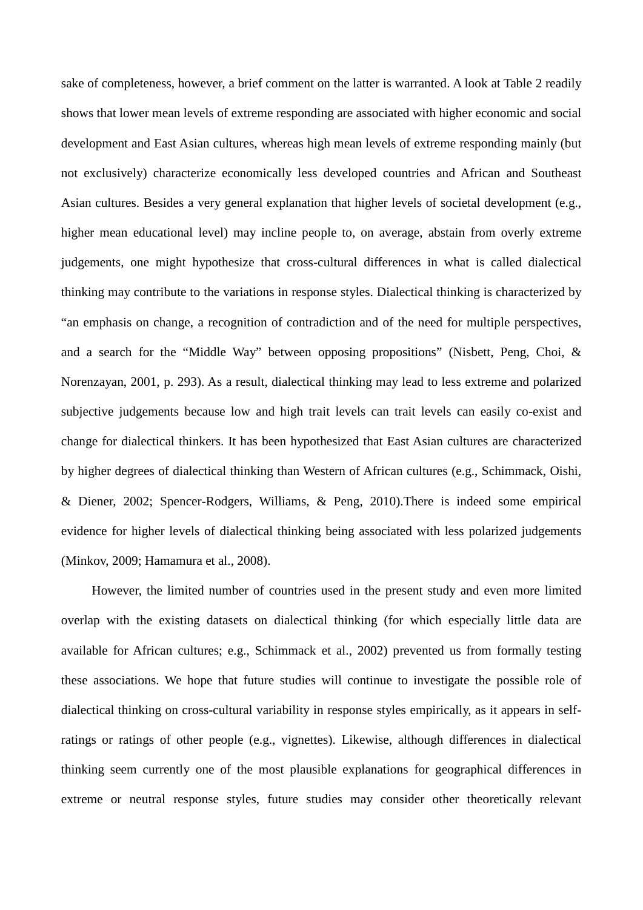sake of completeness, however, a brief comment on the latter is warranted. A look at Table 2 readily shows that lower mean levels of extreme responding are associated with higher economic and social development and East Asian cultures, whereas high mean levels of extreme responding mainly (but not exclusively) characterize economically less developed countries and African and Southeast Asian cultures. Besides a very general explanation that higher levels of societal development (e.g., higher mean educational level) may incline people to, on average, abstain from overly extreme judgements, one might hypothesize that cross-cultural differences in what is called dialectical thinking may contribute to the variations in response styles. Dialectical thinking is characterized by "an emphasis on change, a recognition of contradiction and of the need for multiple perspectives, and a search for the "Middle Way" between opposing propositions" (Nisbett, Peng, Choi, & Norenzayan, 2001, p. 293). As a result, dialectical thinking may lead to less extreme and polarized subjective judgements because low and high trait levels can trait levels can easily co-exist and change for dialectical thinkers. It has been hypothesized that East Asian cultures are characterized by higher degrees of dialectical thinking than Western of African cultures (e.g., Schimmack, Oishi, & Diener, 2002; Spencer-Rodgers, Williams, & Peng, 2010).There is indeed some empirical evidence for higher levels of dialectical thinking being associated with less polarized judgements (Minkov, 2009; Hamamura et al., 2008).

However, the limited number of countries used in the present study and even more limited overlap with the existing datasets on dialectical thinking (for which especially little data are available for African cultures; e.g., Schimmack et al., 2002) prevented us from formally testing these associations. We hope that future studies will continue to investigate the possible role of dialectical thinking on cross-cultural variability in response styles empirically, as it appears in selfratings or ratings of other people (e.g., vignettes). Likewise, although differences in dialectical thinking seem currently one of the most plausible explanations for geographical differences in extreme or neutral response styles, future studies may consider other theoretically relevant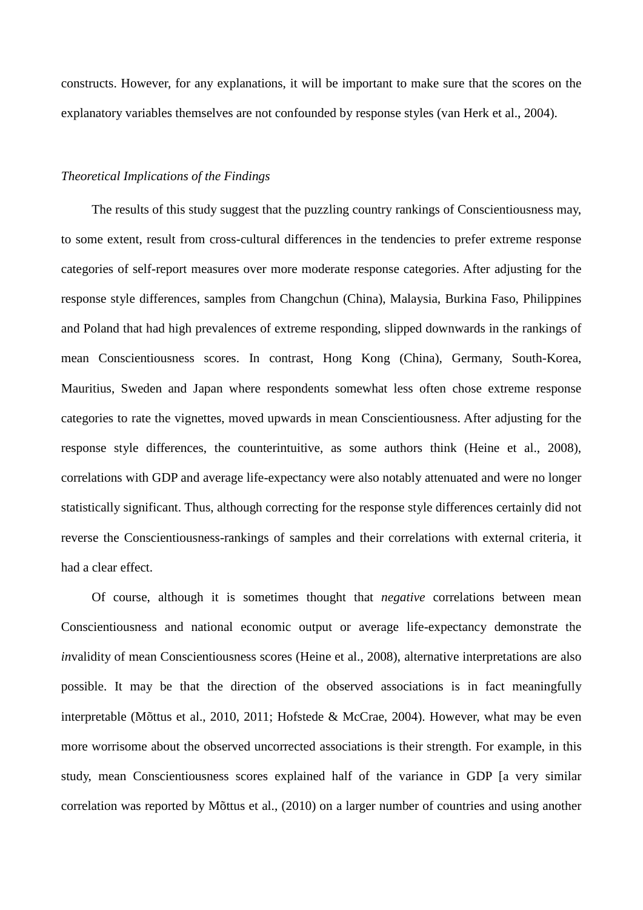constructs. However, for any explanations, it will be important to make sure that the scores on the explanatory variables themselves are not confounded by response styles (van Herk et al., 2004).

#### *Theoretical Implications of the Findings*

The results of this study suggest that the puzzling country rankings of Conscientiousness may, to some extent, result from cross-cultural differences in the tendencies to prefer extreme response categories of self-report measures over more moderate response categories. After adjusting for the response style differences, samples from Changchun (China), Malaysia, Burkina Faso, Philippines and Poland that had high prevalences of extreme responding, slipped downwards in the rankings of mean Conscientiousness scores. In contrast, Hong Kong (China), Germany, South-Korea, Mauritius, Sweden and Japan where respondents somewhat less often chose extreme response categories to rate the vignettes, moved upwards in mean Conscientiousness. After adjusting for the response style differences, the counterintuitive, as some authors think (Heine et al., 2008), correlations with GDP and average life-expectancy were also notably attenuated and were no longer statistically significant. Thus, although correcting for the response style differences certainly did not reverse the Conscientiousness-rankings of samples and their correlations with external criteria, it had a clear effect.

Of course, although it is sometimes thought that *negative* correlations between mean Conscientiousness and national economic output or average life-expectancy demonstrate the *invalidity* of mean Conscientiousness scores (Heine et al., 2008), alternative interpretations are also possible. It may be that the direction of the observed associations is in fact meaningfully interpretable (Mõttus et al., 2010, 2011; Hofstede & McCrae, 2004). However, what may be even more worrisome about the observed uncorrected associations is their strength. For example, in this study, mean Conscientiousness scores explained half of the variance in GDP [a very similar correlation was reported by Mõttus et al., (2010) on a larger number of countries and using another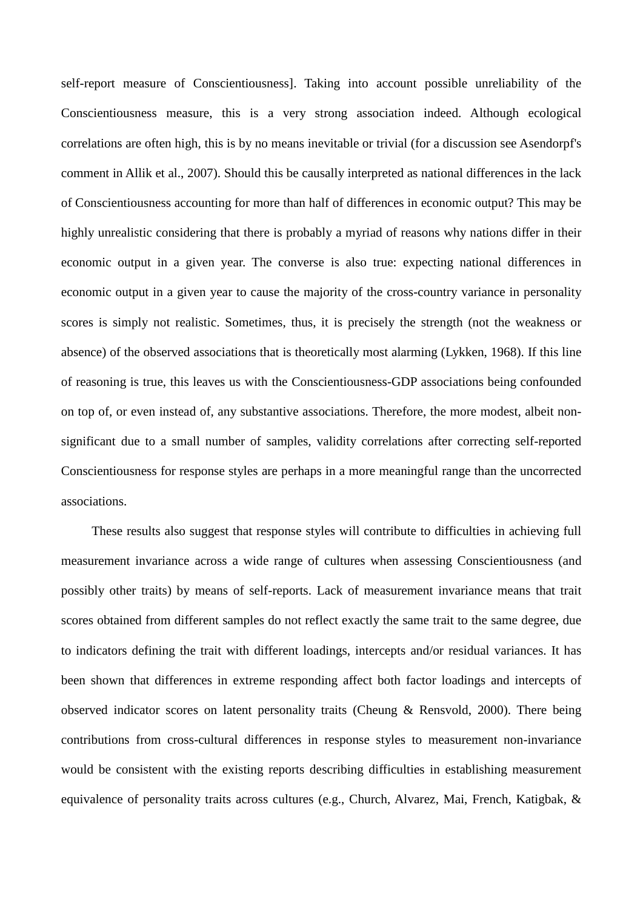self-report measure of Conscientiousness]. Taking into account possible unreliability of the Conscientiousness measure, this is a very strong association indeed. Although ecological correlations are often high, this is by no means inevitable or trivial (for a discussion see Asendorpf's comment in Allik et al., 2007). Should this be causally interpreted as national differences in the lack of Conscientiousness accounting for more than half of differences in economic output? This may be highly unrealistic considering that there is probably a myriad of reasons why nations differ in their economic output in a given year. The converse is also true: expecting national differences in economic output in a given year to cause the majority of the cross-country variance in personality scores is simply not realistic. Sometimes, thus, it is precisely the strength (not the weakness or absence) of the observed associations that is theoretically most alarming (Lykken, 1968). If this line of reasoning is true, this leaves us with the Conscientiousness-GDP associations being confounded on top of, or even instead of, any substantive associations. Therefore, the more modest, albeit nonsignificant due to a small number of samples, validity correlations after correcting self-reported Conscientiousness for response styles are perhaps in a more meaningful range than the uncorrected associations.

These results also suggest that response styles will contribute to difficulties in achieving full measurement invariance across a wide range of cultures when assessing Conscientiousness (and possibly other traits) by means of self-reports. Lack of measurement invariance means that trait scores obtained from different samples do not reflect exactly the same trait to the same degree, due to indicators defining the trait with different loadings, intercepts and/or residual variances. It has been shown that differences in extreme responding affect both factor loadings and intercepts of observed indicator scores on latent personality traits (Cheung & Rensvold, 2000). There being contributions from cross-cultural differences in response styles to measurement non-invariance would be consistent with the existing reports describing difficulties in establishing measurement equivalence of personality traits across cultures (e.g., Church, Alvarez, Mai, French, Katigbak, &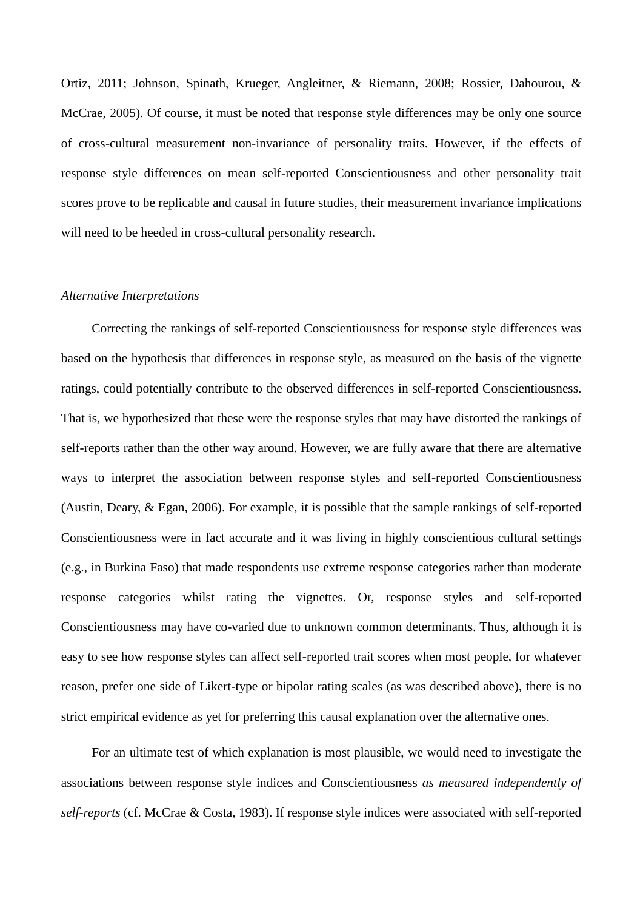Ortiz, 2011; Johnson, Spinath, Krueger, Angleitner, & Riemann, 2008; Rossier, Dahourou, & McCrae, 2005). Of course, it must be noted that response style differences may be only one source of cross-cultural measurement non-invariance of personality traits. However, if the effects of response style differences on mean self-reported Conscientiousness and other personality trait scores prove to be replicable and causal in future studies, their measurement invariance implications will need to be heeded in cross-cultural personality research.

#### *Alternative Interpretations*

Correcting the rankings of self-reported Conscientiousness for response style differences was based on the hypothesis that differences in response style, as measured on the basis of the vignette ratings, could potentially contribute to the observed differences in self-reported Conscientiousness. That is, we hypothesized that these were the response styles that may have distorted the rankings of self-reports rather than the other way around. However, we are fully aware that there are alternative ways to interpret the association between response styles and self-reported Conscientiousness (Austin, Deary, & Egan, 2006). For example, it is possible that the sample rankings of self-reported Conscientiousness were in fact accurate and it was living in highly conscientious cultural settings (e.g., in Burkina Faso) that made respondents use extreme response categories rather than moderate response categories whilst rating the vignettes. Or, response styles and self-reported Conscientiousness may have co-varied due to unknown common determinants. Thus, although it is easy to see how response styles can affect self-reported trait scores when most people, for whatever reason, prefer one side of Likert-type or bipolar rating scales (as was described above), there is no strict empirical evidence as yet for preferring this causal explanation over the alternative ones.

For an ultimate test of which explanation is most plausible, we would need to investigate the associations between response style indices and Conscientiousness *as measured independently of self-reports* (cf. McCrae & Costa, 1983). If response style indices were associated with self-reported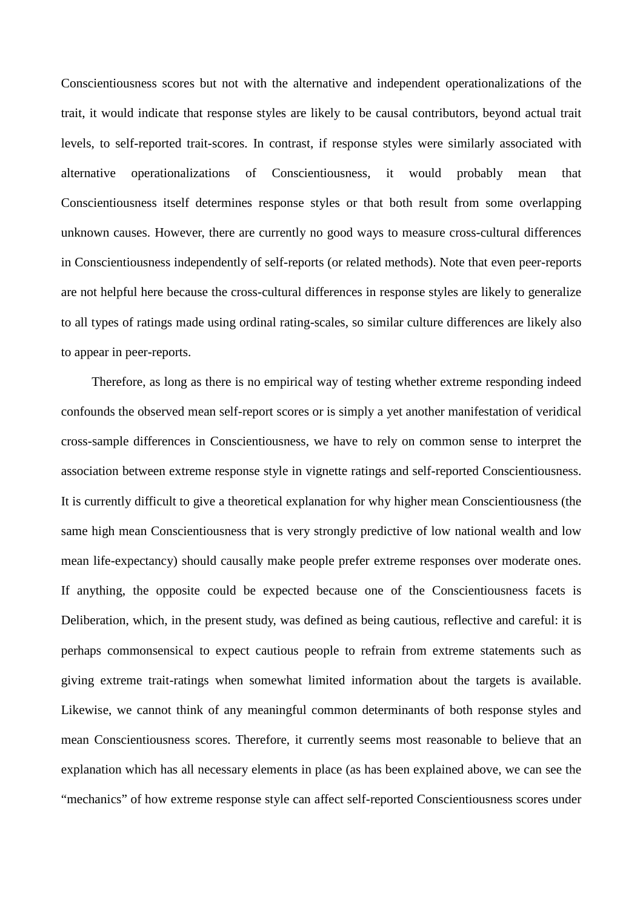Conscientiousness scores but not with the alternative and independent operationalizations of the trait, it would indicate that response styles are likely to be causal contributors, beyond actual trait levels, to self-reported trait-scores. In contrast, if response styles were similarly associated with alternative operationalizations of Conscientiousness, it would probably mean that Conscientiousness itself determines response styles or that both result from some overlapping unknown causes. However, there are currently no good ways to measure cross-cultural differences in Conscientiousness independently of self-reports (or related methods). Note that even peer-reports are not helpful here because the cross-cultural differences in response styles are likely to generalize to all types of ratings made using ordinal rating-scales, so similar culture differences are likely also to appear in peer-reports.

Therefore, as long as there is no empirical way of testing whether extreme responding indeed confounds the observed mean self-report scores or is simply a yet another manifestation of veridical cross-sample differences in Conscientiousness, we have to rely on common sense to interpret the association between extreme response style in vignette ratings and self-reported Conscientiousness. It is currently difficult to give a theoretical explanation for why higher mean Conscientiousness (the same high mean Conscientiousness that is very strongly predictive of low national wealth and low mean life-expectancy) should causally make people prefer extreme responses over moderate ones. If anything, the opposite could be expected because one of the Conscientiousness facets is Deliberation, which, in the present study, was defined as being cautious, reflective and careful: it is perhaps commonsensical to expect cautious people to refrain from extreme statements such as giving extreme trait-ratings when somewhat limited information about the targets is available. Likewise, we cannot think of any meaningful common determinants of both response styles and mean Conscientiousness scores. Therefore, it currently seems most reasonable to believe that an explanation which has all necessary elements in place (as has been explained above, we can see the "mechanics" of how extreme response style can affect self-reported Conscientiousness scores under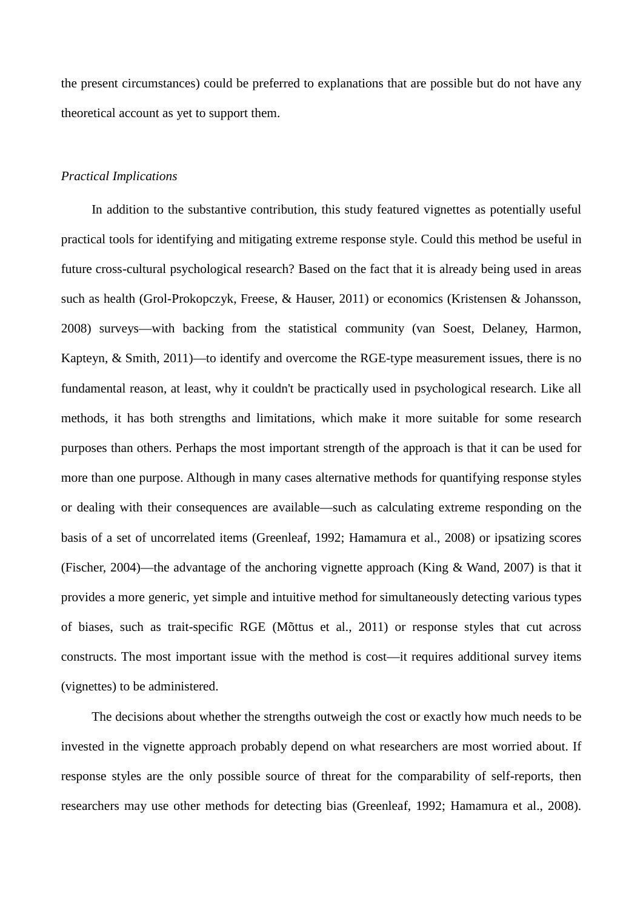the present circumstances) could be preferred to explanations that are possible but do not have any theoretical account as yet to support them.

#### *Practical Implications*

In addition to the substantive contribution, this study featured vignettes as potentially useful practical tools for identifying and mitigating extreme response style. Could this method be useful in future cross-cultural psychological research? Based on the fact that it is already being used in areas such as health (Grol-Prokopczyk, Freese, & Hauser, 2011) or economics (Kristensen & Johansson, 2008) surveys—with backing from the statistical community (van Soest, Delaney, Harmon, Kapteyn, & Smith, 2011)—to identify and overcome the RGE-type measurement issues, there is no fundamental reason, at least, why it couldn't be practically used in psychological research. Like all methods, it has both strengths and limitations, which make it more suitable for some research purposes than others. Perhaps the most important strength of the approach is that it can be used for more than one purpose. Although in many cases alternative methods for quantifying response styles or dealing with their consequences are available—such as calculating extreme responding on the basis of a set of uncorrelated items (Greenleaf, 1992; Hamamura et al., 2008) or ipsatizing scores (Fischer, 2004)—the advantage of the anchoring vignette approach (King & Wand, 2007) is that it provides a more generic, yet simple and intuitive method for simultaneously detecting various types of biases, such as trait-specific RGE (Mõttus et al., 2011) or response styles that cut across constructs. The most important issue with the method is cost—it requires additional survey items (vignettes) to be administered.

The decisions about whether the strengths outweigh the cost or exactly how much needs to be invested in the vignette approach probably depend on what researchers are most worried about. If response styles are the only possible source of threat for the comparability of self-reports, then researchers may use other methods for detecting bias (Greenleaf, 1992; Hamamura et al., 2008).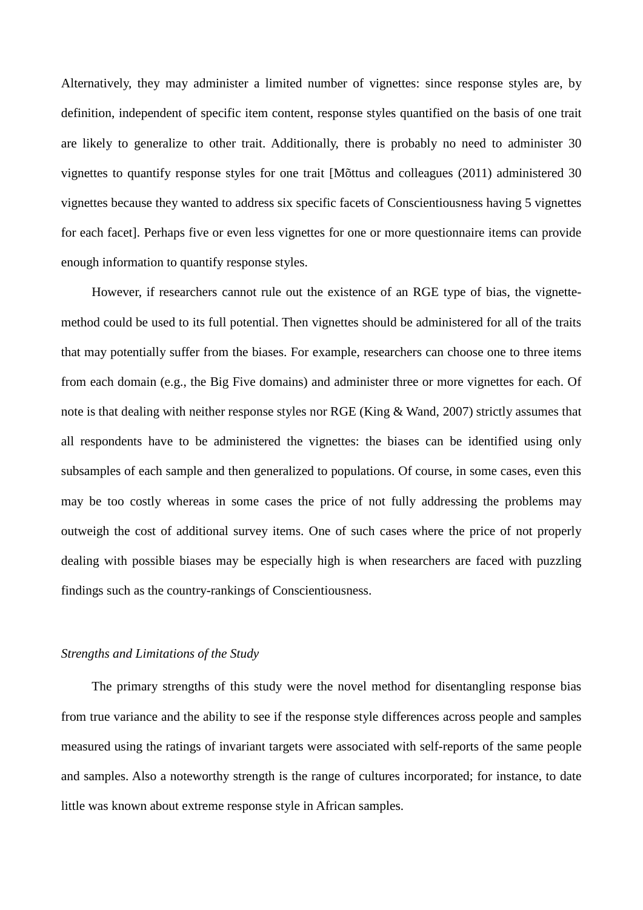Alternatively, they may administer a limited number of vignettes: since response styles are, by definition, independent of specific item content, response styles quantified on the basis of one trait are likely to generalize to other trait. Additionally, there is probably no need to administer 30 vignettes to quantify response styles for one trait [Mõttus and colleagues (2011) administered 30 vignettes because they wanted to address six specific facets of Conscientiousness having 5 vignettes for each facet]. Perhaps five or even less vignettes for one or more questionnaire items can provide enough information to quantify response styles.

However, if researchers cannot rule out the existence of an RGE type of bias, the vignettemethod could be used to its full potential. Then vignettes should be administered for all of the traits that may potentially suffer from the biases. For example, researchers can choose one to three items from each domain (e.g., the Big Five domains) and administer three or more vignettes for each. Of note is that dealing with neither response styles nor RGE (King & Wand, 2007) strictly assumes that all respondents have to be administered the vignettes: the biases can be identified using only subsamples of each sample and then generalized to populations. Of course, in some cases, even this may be too costly whereas in some cases the price of not fully addressing the problems may outweigh the cost of additional survey items. One of such cases where the price of not properly dealing with possible biases may be especially high is when researchers are faced with puzzling findings such as the country-rankings of Conscientiousness.

#### *Strengths and Limitations of the Study*

The primary strengths of this study were the novel method for disentangling response bias from true variance and the ability to see if the response style differences across people and samples measured using the ratings of invariant targets were associated with self-reports of the same people and samples. Also a noteworthy strength is the range of cultures incorporated; for instance, to date little was known about extreme response style in African samples.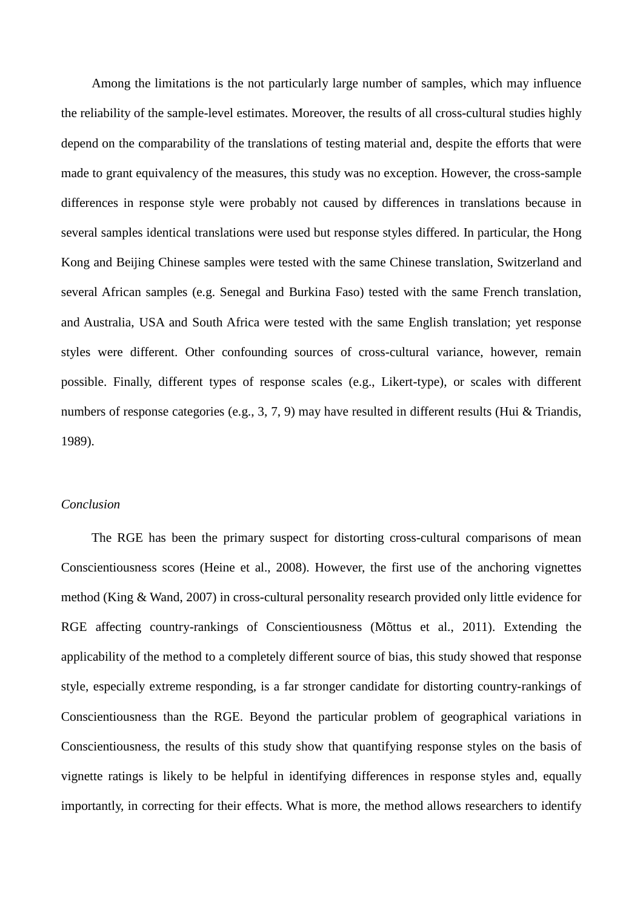Among the limitations is the not particularly large number of samples, which may influence the reliability of the sample-level estimates. Moreover, the results of all cross-cultural studies highly depend on the comparability of the translations of testing material and, despite the efforts that were made to grant equivalency of the measures, this study was no exception. However, the cross-sample differences in response style were probably not caused by differences in translations because in several samples identical translations were used but response styles differed. In particular, the Hong Kong and Beijing Chinese samples were tested with the same Chinese translation, Switzerland and several African samples (e.g. Senegal and Burkina Faso) tested with the same French translation, and Australia, USA and South Africa were tested with the same English translation; yet response styles were different. Other confounding sources of cross-cultural variance, however, remain possible. Finally, different types of response scales (e.g., Likert-type), or scales with different numbers of response categories (e.g., 3, 7, 9) may have resulted in different results (Hui & Triandis, 1989).

#### *Conclusion*

The RGE has been the primary suspect for distorting cross-cultural comparisons of mean Conscientiousness scores (Heine et al., 2008). However, the first use of the anchoring vignettes method (King & Wand, 2007) in cross-cultural personality research provided only little evidence for RGE affecting country-rankings of Conscientiousness (Mõttus et al., 2011). Extending the applicability of the method to a completely different source of bias, this study showed that response style, especially extreme responding, is a far stronger candidate for distorting country-rankings of Conscientiousness than the RGE. Beyond the particular problem of geographical variations in Conscientiousness, the results of this study show that quantifying response styles on the basis of vignette ratings is likely to be helpful in identifying differences in response styles and, equally importantly, in correcting for their effects. What is more, the method allows researchers to identify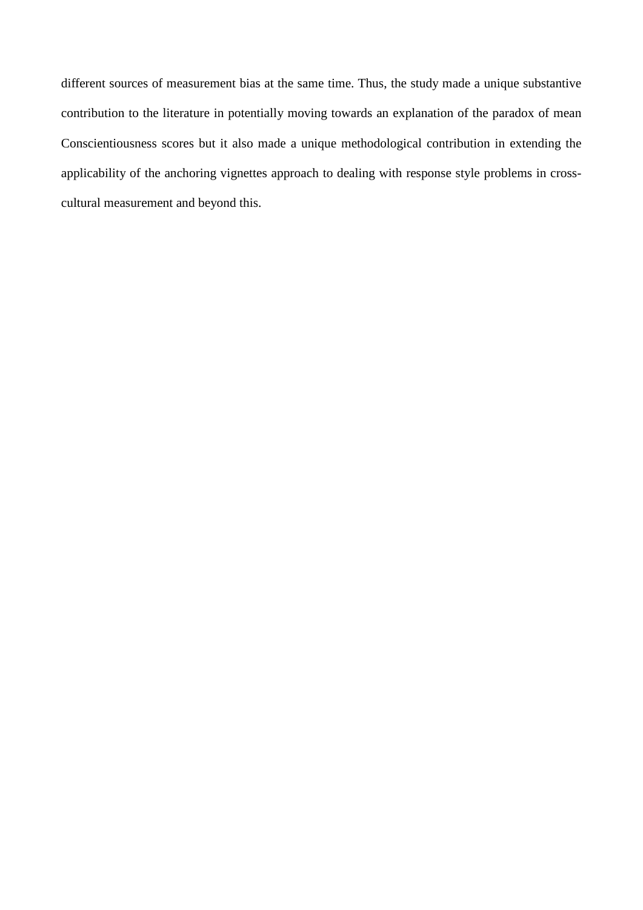different sources of measurement bias at the same time. Thus, the study made a unique substantive contribution to the literature in potentially moving towards an explanation of the paradox of mean Conscientiousness scores but it also made a unique methodological contribution in extending the applicability of the anchoring vignettes approach to dealing with response style problems in crosscultural measurement and beyond this.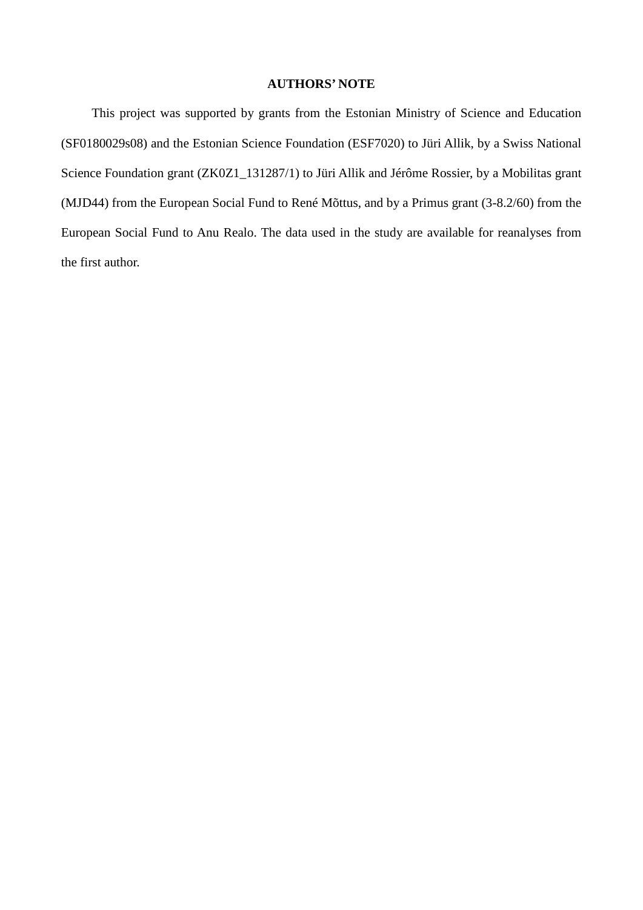#### **AUTHORS' NOTE**

This project was supported by grants from the Estonian Ministry of Science and Education (SF0180029s08) and the Estonian Science Foundation (ESF7020) to Jüri Allik, by a Swiss National Science Foundation grant (ZK0Z1\_131287/1) to Jüri Allik and Jérôme Rossier, by a Mobilitas grant (MJD44) from the European Social Fund to René Mõttus, and by a Primus grant (3-8.2/60) from the European Social Fund to Anu Realo. The data used in the study are available for reanalyses from the first author.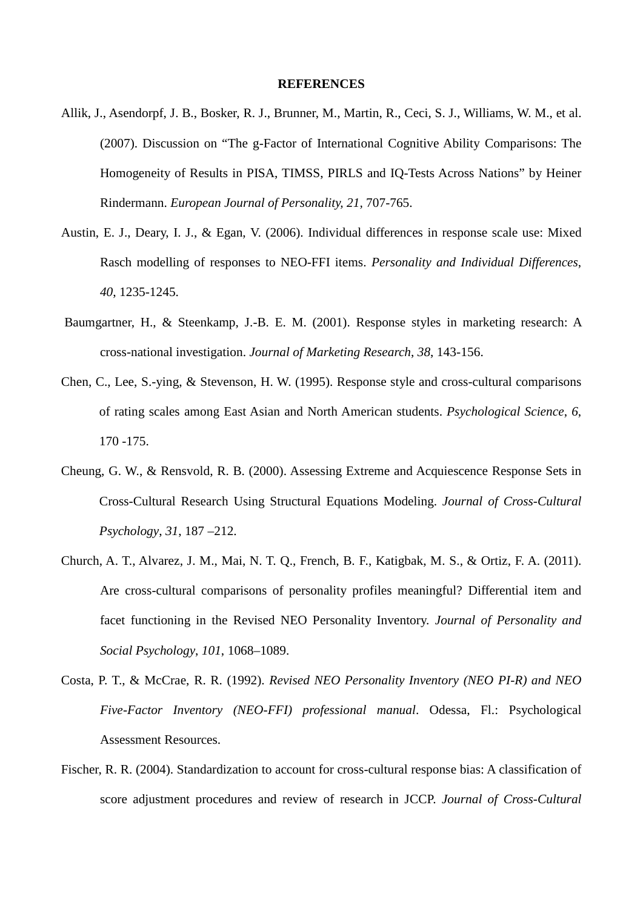#### **REFERENCES**

- Allik, J., Asendorpf, J. B., Bosker, R. J., Brunner, M., Martin, R., Ceci, S. J., Williams, W. M., et al. (2007). Discussion on "The g-Factor of International Cognitive Ability Comparisons: The Homogeneity of Results in PISA, TIMSS, PIRLS and IQ-Tests Across Nations" by Heiner Rindermann. *European Journal of Personality, 21,* 707-765.
- Austin, E. J., Deary, I. J., & Egan, V. (2006). Individual differences in response scale use: Mixed Rasch modelling of responses to NEO-FFI items. *Personality and Individual Differences*, *40*, 1235-1245.
- Baumgartner, H., & Steenkamp, J.-B. E. M. (2001). Response styles in marketing research: A cross-national investigation. *Journal of Marketing Research*, *38*, 143-156.
- Chen, C., Lee, S.-ying, & Stevenson, H. W. (1995). Response style and cross-cultural comparisons of rating scales among East Asian and North American students. *Psychological Science*, *6*, 170 -175.
- Cheung, G. W., & Rensvold, R. B. (2000). Assessing Extreme and Acquiescence Response Sets in Cross-Cultural Research Using Structural Equations Modeling. *Journal of Cross-Cultural Psychology*, *31*, 187 –212.
- Church, A. T., Alvarez, J. M., Mai, N. T. Q., French, B. F., Katigbak, M. S., & Ortiz, F. A. (2011). Are cross-cultural comparisons of personality profiles meaningful? Differential item and facet functioning in the Revised NEO Personality Inventory. *Journal of Personality and Social Psychology*, *101*, 1068–1089.
- Costa, P. T., & McCrae, R. R. (1992). *Revised NEO Personality Inventory (NEO PI-R) and NEO Five-Factor Inventory (NEO-FFI) professional manual*. Odessa, Fl.: Psychological Assessment Resources.
- Fischer, R. R. (2004). Standardization to account for cross-cultural response bias: A classification of score adjustment procedures and review of research in JCCP. *Journal of Cross-Cultural*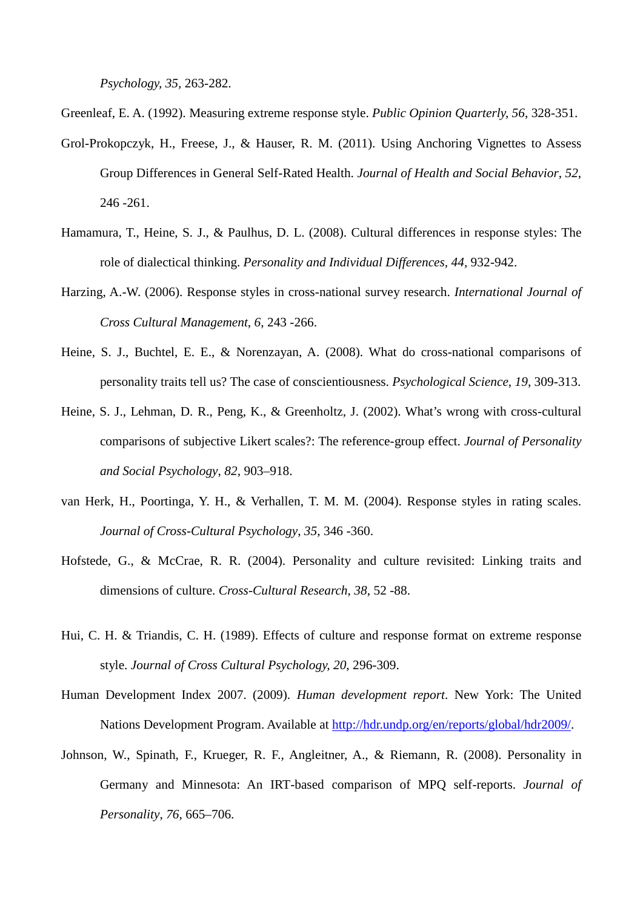*Psychology, 35,* 263-282.

Greenleaf, E. A. (1992). Measuring extreme response style. *Public Opinion Quarterly, 56*, 328-351.

- Grol-Prokopczyk, H., Freese, J., & Hauser, R. M. (2011). Using Anchoring Vignettes to Assess Group Differences in General Self-Rated Health. *Journal of Health and Social Behavior*, *52*, 246 -261.
- Hamamura, T., Heine, S. J., & Paulhus, D. L. (2008). Cultural differences in response styles: The role of dialectical thinking. *Personality and Individual Differences, 44,* 932-942.
- Harzing, A.-W. (2006). Response styles in cross-national survey research. *International Journal of Cross Cultural Management*, *6*, 243 -266.
- Heine, S. J., Buchtel, E. E., & Norenzayan, A. (2008). What do cross-national comparisons of personality traits tell us? The case of conscientiousness. *Psychological Science*, *19*, 309-313.
- Heine, S. J., Lehman, D. R., Peng, K., & Greenholtz, J. (2002). What's wrong with cross-cultural comparisons of subjective Likert scales?: The reference-group effect. *Journal of Personality and Social Psychology*, *82*, 903–918.
- van Herk, H., Poortinga, Y. H., & Verhallen, T. M. M. (2004). Response styles in rating scales. *Journal of Cross-Cultural Psychology*, *35*, 346 -360.
- Hofstede, G., & McCrae, R. R. (2004). Personality and culture revisited: Linking traits and dimensions of culture. *Cross-Cultural Research*, *38*, 52 -88.
- Hui, C. H. & Triandis, C. H. (1989). Effects of culture and response format on extreme response style. *Journal of Cross Cultural Psychology, 20*, 296-309.
- Human Development Index 2007. (2009). *Human development report*. New York: The United Nations Development Program. Available at [http://hdr.undp.org/en/reports/global/hdr2009/.](http://hdr.undp.org/en/reports/global/hdr2009/)
- Johnson, W., Spinath, F., Krueger, R. F., Angleitner, A., & Riemann, R. (2008). Personality in Germany and Minnesota: An IRT-based comparison of MPQ self-reports. *Journal of Personality*, *76*, 665–706.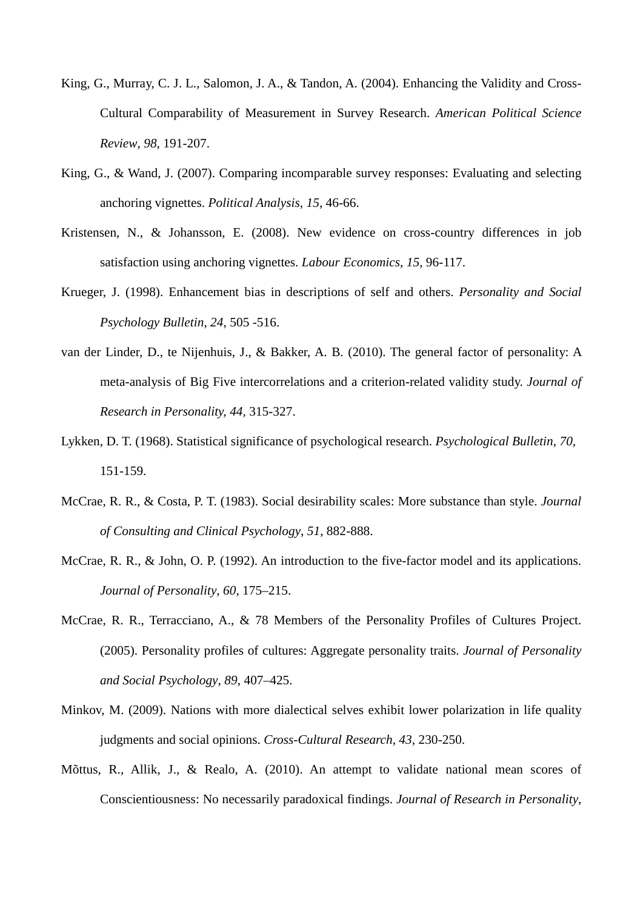- King, G., Murray, C. J. L., Salomon, J. A., & Tandon, A. (2004). Enhancing the Validity and Cross-Cultural Comparability of Measurement in Survey Research. *American Political Science Review*, *98*, 191-207.
- King, G., & Wand, J. (2007). Comparing incomparable survey responses: Evaluating and selecting anchoring vignettes. *Political Analysis*, *15*, 46-66.
- Kristensen, N., & Johansson, E. (2008). New evidence on cross-country differences in job satisfaction using anchoring vignettes. *Labour Economics*, *15*, 96-117.
- Krueger, J. (1998). Enhancement bias in descriptions of self and others. *Personality and Social Psychology Bulletin*, *24*, 505 -516.
- van der Linder, D., te Nijenhuis, J., & Bakker, A. B. (2010). The general factor of personality: A meta-analysis of Big Five intercorrelations and a criterion-related validity study. *Journal of Research in Personality, 44,* 315-327.
- Lykken, D. T. (1968). Statistical significance of psychological research. *Psychological Bulletin, 70,*  151-159.
- McCrae, R. R., & Costa, P. T. (1983). Social desirability scales: More substance than style. *Journal of Consulting and Clinical Psychology*, *51*, 882-888.
- McCrae, R. R., & John, O. P. (1992). An introduction to the five-factor model and its applications. *Journal of Personality*, *60*, 175–215.
- McCrae, R. R., Terracciano, A., & 78 Members of the Personality Profiles of Cultures Project. (2005). Personality profiles of cultures: Aggregate personality traits. *Journal of Personality and Social Psychology*, *89*, 407–425.
- Minkov, M. (2009). Nations with more dialectical selves exhibit lower polarization in life quality judgments and social opinions. *Cross-Cultural Research, 43,* 230-250.
- Mõttus, R., Allik, J., & Realo, A. (2010). An attempt to validate national mean scores of Conscientiousness: No necessarily paradoxical findings. *Journal of Research in Personality*,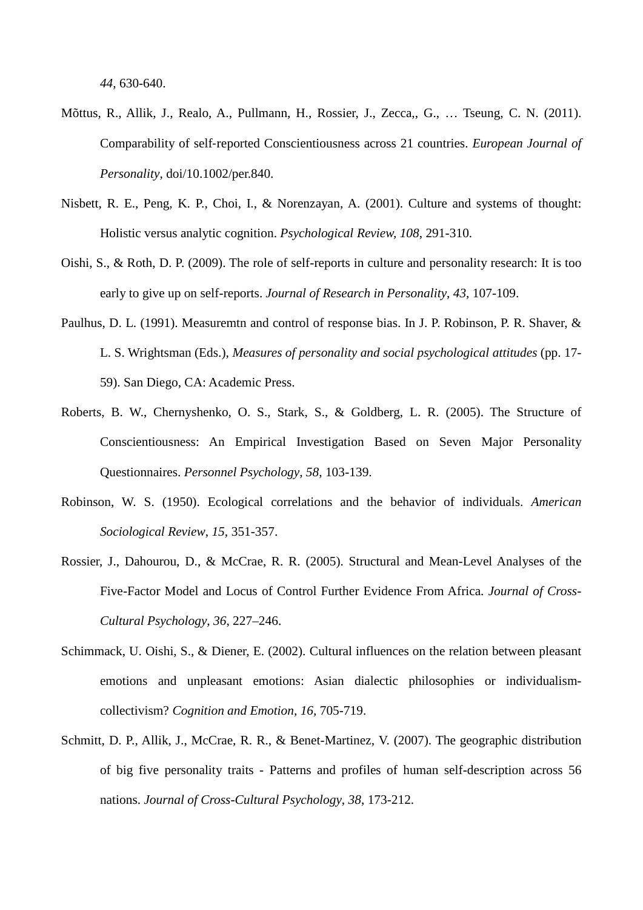*44*, 630-640.

- Mõttus, R., Allik, J., Realo, A., Pullmann, H., Rossier, J., Zecca,, G., … Tseung, C. N. (2011). Comparability of self-reported Conscientiousness across 21 countries. *European Journal of Personality*, doi/10.1002/per.840.
- Nisbett, R. E., Peng, K. P., Choi, I., & Norenzayan, A. (2001). Culture and systems of thought: Holistic versus analytic cognition. *Psychological Review, 108*, 291-310.
- Oishi, S., & Roth, D. P. (2009). The role of self-reports in culture and personality research: It is too early to give up on self-reports. *Journal of Research in Personality*, *43*, 107-109.
- Paulhus, D. L. (1991). Measuremtn and control of response bias. In J. P. Robinson, P. R. Shaver, & L. S. Wrightsman (Eds.), *Measures of personality and social psychological attitudes* (pp. 17- 59). San Diego, CA: Academic Press.
- Roberts, B. W., Chernyshenko, O. S., Stark, S., & Goldberg, L. R. (2005). The Structure of Conscientiousness: An Empirical Investigation Based on Seven Major Personality Questionnaires. *Personnel Psychology*, *58*, 103-139.
- Robinson, W. S. (1950). Ecological correlations and the behavior of individuals. *American Sociological Review*, *15*, 351-357.
- Rossier, J., Dahourou, D., & McCrae, R. R. (2005). Structural and Mean-Level Analyses of the Five-Factor Model and Locus of Control Further Evidence From Africa. *Journal of Cross-Cultural Psychology*, *36*, 227–246.
- Schimmack, U. Oishi, S., & Diener, E. (2002). Cultural influences on the relation between pleasant emotions and unpleasant emotions: Asian dialectic philosophies or individualismcollectivism? *Cognition and Emotion, 16,* 705-719.
- Schmitt, D. P., Allik, J., McCrae, R. R., & Benet-Martinez, V. (2007). The geographic distribution of big five personality traits - Patterns and profiles of human self-description across 56 nations. *Journal of Cross-Cultural Psychology*, *38*, 173-212.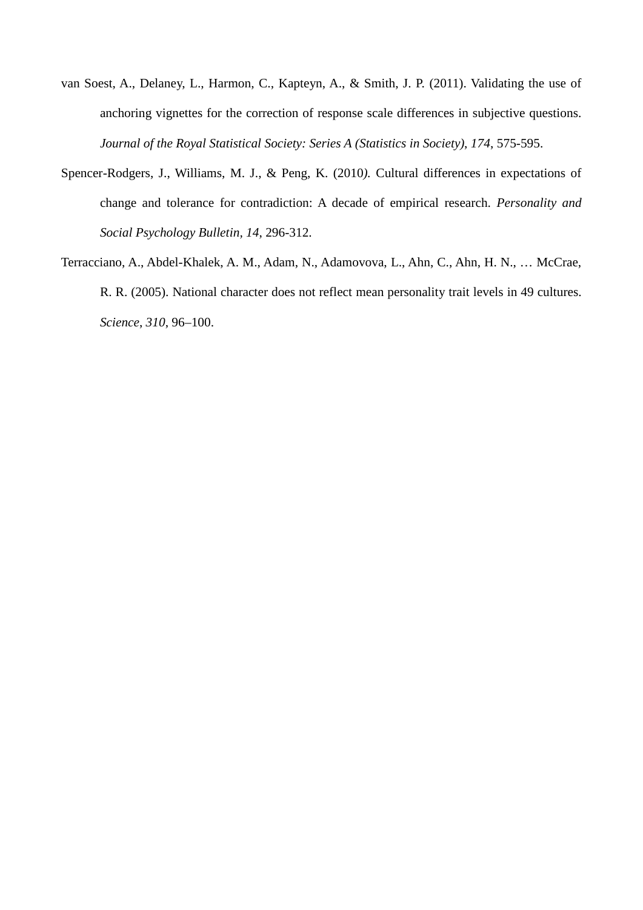- van Soest, A., Delaney, L., Harmon, C., Kapteyn, A., & Smith, J. P. (2011). Validating the use of anchoring vignettes for the correction of response scale differences in subjective questions. *Journal of the Royal Statistical Society: Series A (Statistics in Society)*, *174*, 575-595.
- Spencer-Rodgers, J., Williams, M. J., & Peng, K. (2010*).* Cultural differences in expectations of change and tolerance for contradiction: A decade of empirical research. *Personality and Social Psychology Bulletin, 14*, 296-312.
- Terracciano, A., Abdel-Khalek, A. M., Adam, N., Adamovova, L., Ahn, C., Ahn, H. N., … McCrae, R. R. (2005). National character does not reflect mean personality trait levels in 49 cultures. *Science*, *310*, 96–100.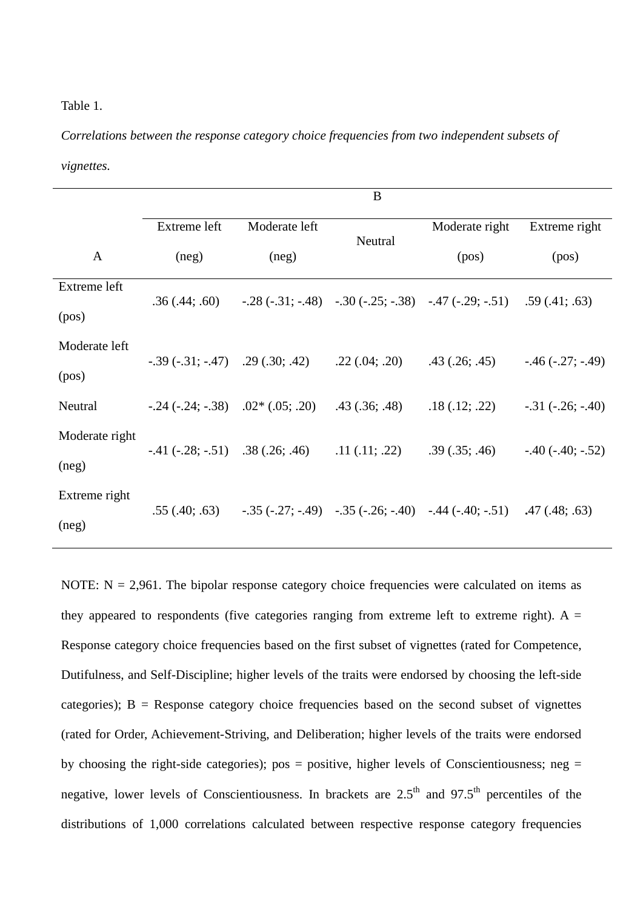#### Table 1.

*Correlations between the response category choice frequencies from two independent subsets of vignettes.*

|                | B            |                                                                        |                    |                                                                                          |                     |  |  |
|----------------|--------------|------------------------------------------------------------------------|--------------------|------------------------------------------------------------------------------------------|---------------------|--|--|
|                | Extreme left | Moderate left                                                          | Neutral            | Moderate right                                                                           | Extreme right       |  |  |
| $\mathbf{A}$   | (neg)        | (neg)                                                                  |                    | (pos)                                                                                    | (pos)               |  |  |
| Extreme left   |              |                                                                        |                    |                                                                                          |                     |  |  |
| (pos)          |              |                                                                        |                    | .36 (.44; .60) -.38 (-.31; -.48) -.30 (-.25; -.38) -.47 (-.29; -.51) .59 (.41; .63)      |                     |  |  |
| Moderate left  |              |                                                                        |                    |                                                                                          |                     |  |  |
| (pos)          |              | $-0.39$ $(-0.31; -0.47)$ $-0.29$ $(0.30; 0.42)$ $-0.22$ $(0.04; 0.20)$ |                    | $.43$ ( $.26$ ; $.45$ )                                                                  | $-.46(-.27;-.49)$   |  |  |
| Neutral        |              | $-0.24$ ( $-0.24$ ; $-0.38$ ) $0.02$ * (0.05; 0.20)                    | $.43$ $(.36; .48)$ | .18(.12; .22)                                                                            | $-.31 (-.26; -.40)$ |  |  |
| Moderate right |              |                                                                        |                    |                                                                                          |                     |  |  |
| (neg)          |              | $-0.41$ ( $-0.28$ ; $-0.51$ ) $0.38$ ( $0.26$ ; $0.46$ )               | .11(.11; .22)      | .39(.35; .46)                                                                            | $-.40(-.40; -.52)$  |  |  |
| Extreme right  |              |                                                                        |                    |                                                                                          |                     |  |  |
| (neg)          |              |                                                                        |                    | $.55(.40; .63)$ $-.35(-.27; -.49)$ $-.35(-.26; -.40)$ $-.44(-.40; -.51)$ $.47(.48; .63)$ |                     |  |  |

NOTE:  $N = 2,961$ . The bipolar response category choice frequencies were calculated on items as they appeared to respondents (five categories ranging from extreme left to extreme right).  $A =$ Response category choice frequencies based on the first subset of vignettes (rated for Competence, Dutifulness, and Self-Discipline; higher levels of the traits were endorsed by choosing the left-side categories);  $B =$  Response category choice frequencies based on the second subset of vignettes (rated for Order, Achievement-Striving, and Deliberation; higher levels of the traits were endorsed by choosing the right-side categories); pos = positive, higher levels of Conscientiousness; neg = negative, lower levels of Conscientiousness. In brackets are  $2.5<sup>th</sup>$  and  $97.5<sup>th</sup>$  percentiles of the distributions of 1,000 correlations calculated between respective response category frequencies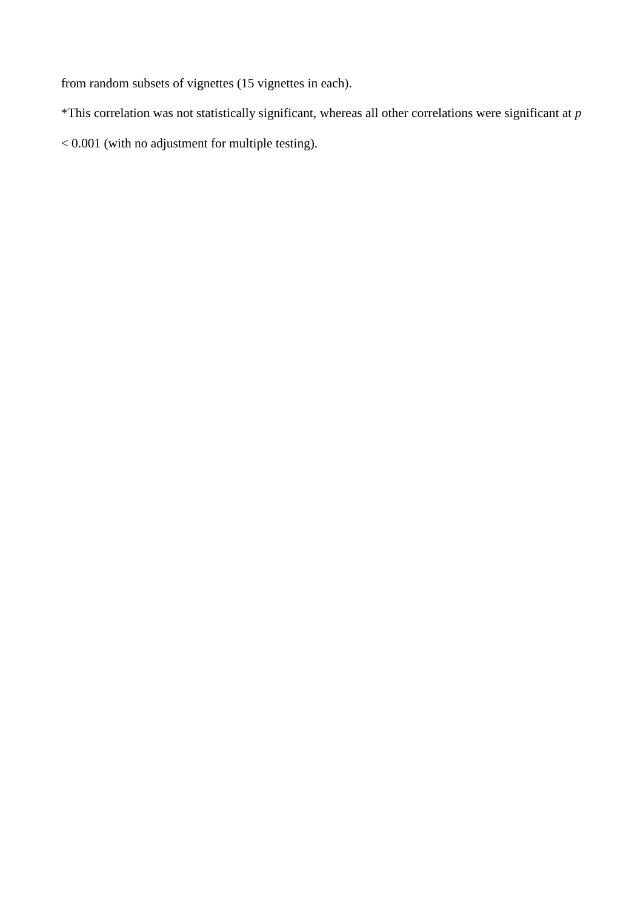from random subsets of vignettes (15 vignettes in each).

\*This correlation was not statistically significant, whereas all other correlations were significant at *p*

< 0.001 (with no adjustment for multiple testing).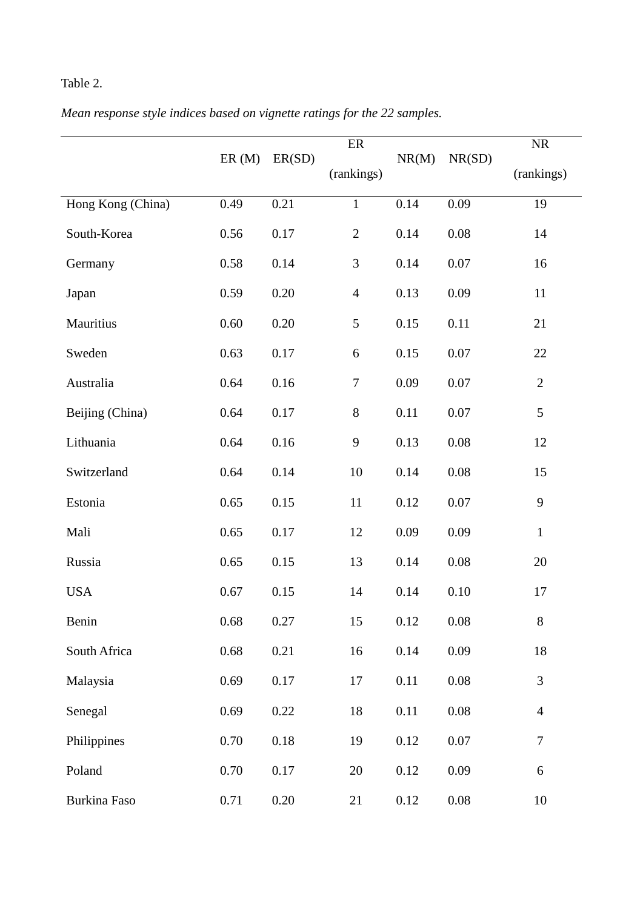## Table 2.

*Mean response style indices based on vignette ratings for the 22 samples.*

|                   |       | ${\rm ER}$ |                  |       |          | <b>NR</b>      |
|-------------------|-------|------------|------------------|-------|----------|----------------|
|                   | ER(M) | ER(SD)     | (rankings)       | NR(M) | NR(SD)   | (rankings)     |
| Hong Kong (China) | 0.49  | 0.21       | $\mathbf{1}$     | 0.14  | 0.09     | 19             |
| South-Korea       | 0.56  | $0.17\,$   | $\mathbf{2}$     | 0.14  | $0.08\,$ | 14             |
| Germany           | 0.58  | 0.14       | 3                | 0.14  | $0.07\,$ | 16             |
| Japan             | 0.59  | 0.20       | $\overline{4}$   | 0.13  | 0.09     | 11             |
| Mauritius         | 0.60  | $0.20\,$   | 5                | 0.15  | 0.11     | 21             |
| Sweden            | 0.63  | 0.17       | 6                | 0.15  | $0.07\,$ | 22             |
| Australia         | 0.64  | 0.16       | $\boldsymbol{7}$ | 0.09  | $0.07\,$ | $\mathbf{2}$   |
| Beijing (China)   | 0.64  | 0.17       | $8\,$            | 0.11  | $0.07\,$ | 5              |
| Lithuania         | 0.64  | 0.16       | 9                | 0.13  | $0.08\,$ | 12             |
| Switzerland       | 0.64  | 0.14       | 10               | 0.14  | $0.08\,$ | 15             |
| Estonia           | 0.65  | 0.15       | 11               | 0.12  | 0.07     | 9              |
| Mali              | 0.65  | $0.17\,$   | 12               | 0.09  | 0.09     | $\mathbf{1}$   |
| Russia            | 0.65  | 0.15       | 13               | 0.14  | $0.08\,$ | 20             |
| <b>USA</b>        | 0.67  | 0.15       | 14               | 0.14  | 0.10     | 17             |
| Benin             | 0.68  | $0.27\,$   | 15               | 0.12  | $0.08\,$ | $8\,$          |
| South Africa      | 0.68  | 0.21       | 16               | 0.14  | 0.09     | 18             |
| Malaysia          | 0.69  | $0.17\,$   | 17               | 0.11  | $0.08\,$ | 3              |
| Senegal           | 0.69  | 0.22       | 18               | 0.11  | $0.08\,$ | $\overline{4}$ |
| Philippines       | 0.70  | 0.18       | 19               | 0.12  | 0.07     | $\tau$         |
| Poland            | 0.70  | $0.17\,$   | 20               | 0.12  | 0.09     | 6              |
| Burkina Faso      | 0.71  | 0.20       | 21               | 0.12  | $0.08\,$ | 10             |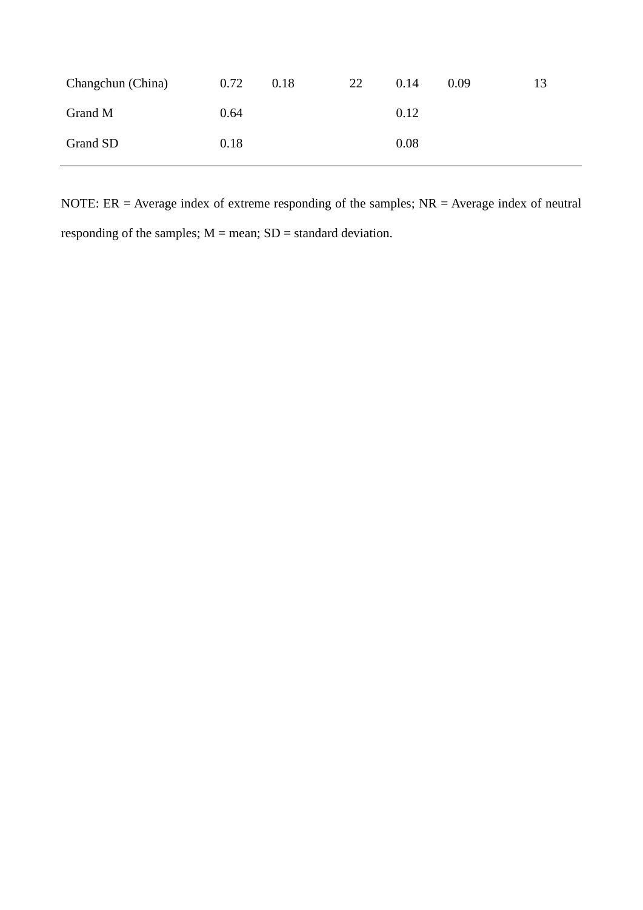| Changchun (China) | 0.72 | 0.18 | 22 | 0.14 | 0.09 | 13 |
|-------------------|------|------|----|------|------|----|
| Grand M           | 0.64 |      |    | 0.12 |      |    |
| Grand SD          | 0.18 |      |    | 0.08 |      |    |

NOTE:  $ER = Average$  index of extreme responding of the samples;  $NR = Average$  index of neutral responding of the samples;  $M =$  mean;  $SD =$  standard deviation.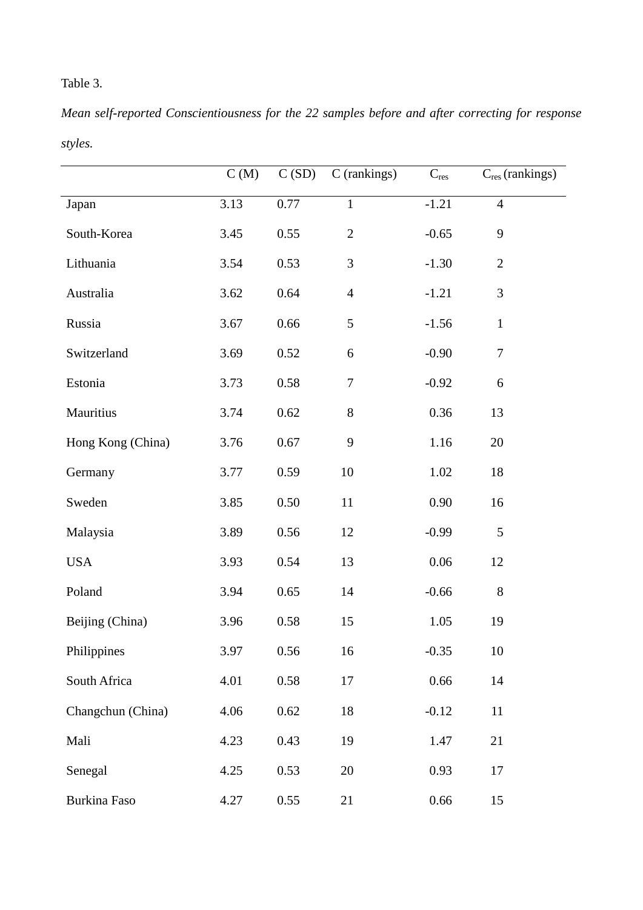## Table 3.

*Mean self-reported Conscientiousness for the 22 samples before and after correcting for response styles.*

|                   | C(M) | C(SD) | C (rankings)     | $C_{\rm res}$ | $C_{res}$ (rankings) |
|-------------------|------|-------|------------------|---------------|----------------------|
| Japan             | 3.13 | 0.77  | $\mathbf{1}$     | $-1.21$       | $\overline{4}$       |
| South-Korea       | 3.45 | 0.55  | $\sqrt{2}$       | $-0.65$       | $\mathbf{9}$         |
| Lithuania         | 3.54 | 0.53  | 3                | $-1.30$       | $\mathbf{2}$         |
| Australia         | 3.62 | 0.64  | $\overline{4}$   | $-1.21$       | 3                    |
| Russia            | 3.67 | 0.66  | $\sqrt{5}$       | $-1.56$       | $\mathbf{1}$         |
| Switzerland       | 3.69 | 0.52  | $\boldsymbol{6}$ | $-0.90$       | $\boldsymbol{7}$     |
| Estonia           | 3.73 | 0.58  | $\boldsymbol{7}$ | $-0.92$       | 6                    |
| Mauritius         | 3.74 | 0.62  | $8\,$            | 0.36          | 13                   |
| Hong Kong (China) | 3.76 | 0.67  | 9                | 1.16          | 20                   |
| Germany           | 3.77 | 0.59  | 10               | 1.02          | 18                   |
| Sweden            | 3.85 | 0.50  | 11               | 0.90          | 16                   |
| Malaysia          | 3.89 | 0.56  | 12               | $-0.99$       | $\mathfrak{S}$       |
| <b>USA</b>        | 3.93 | 0.54  | 13               | 0.06          | 12                   |
| Poland            | 3.94 | 0.65  | 14               | $-0.66$       | 8                    |
| Beijing (China)   | 3.96 | 0.58  | 15               | 1.05          | 19                   |
| Philippines       | 3.97 | 0.56  | 16               | $-0.35$       | 10                   |
| South Africa      | 4.01 | 0.58  | 17               | 0.66          | 14                   |
| Changchun (China) | 4.06 | 0.62  | 18               | $-0.12$       | 11                   |
| Mali              | 4.23 | 0.43  | 19               | 1.47          | 21                   |
| Senegal           | 4.25 | 0.53  | 20               | 0.93          | 17                   |
| Burkina Faso      | 4.27 | 0.55  | 21               | 0.66          | 15                   |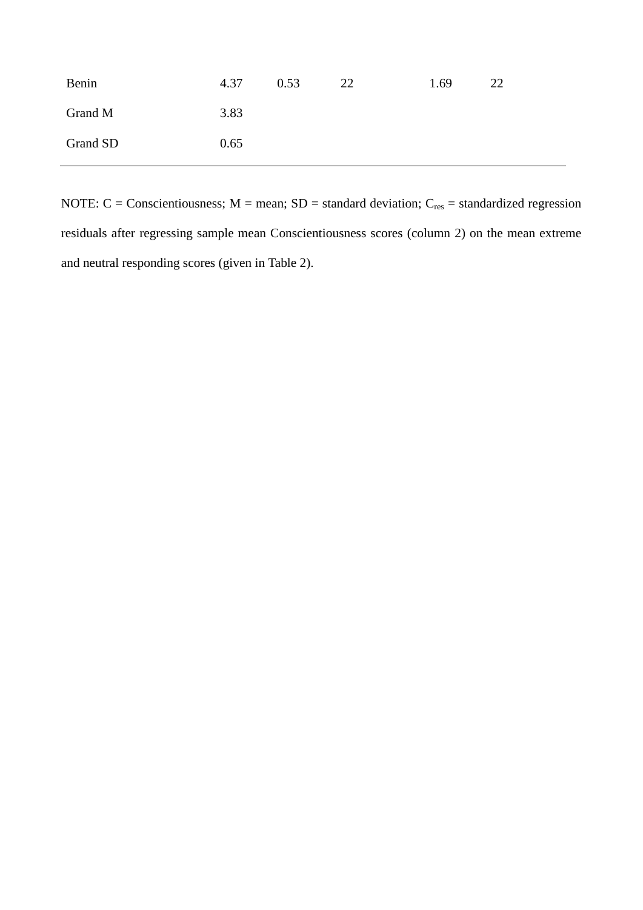| Benin    | 4.37 | 0.53 | 22 | 1.69 | 22 |
|----------|------|------|----|------|----|
| Grand M  | 3.83 |      |    |      |    |
| Grand SD | 0.65 |      |    |      |    |

NOTE:  $C =$  Conscientiousness;  $M =$  mean;  $SD =$  standard deviation;  $C_{res} =$  standardized regression residuals after regressing sample mean Conscientiousness scores (column 2) on the mean extreme and neutral responding scores (given in Table 2).